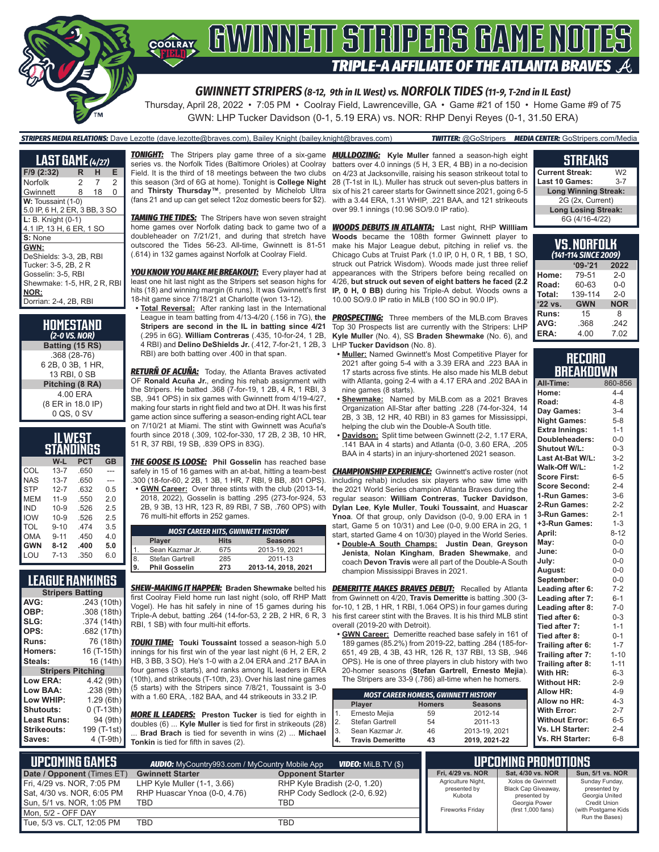

GWN: LHP Tucker Davidson (0-1, 5.19 ERA) vs. NOR: RHP Denyi Reyes (0-1, 31.50 ERA)

### *STRIPERS MEDIA RELATIONS:* Dave Lezotte (dave.lezotte@braves.com), Bailey Knight (bailey.knight@braves.com) *TWITTER:* @GoStripers *MEDIA CENTER:* GoStripers.com/Media

| <b>LAST GAME</b> (4/27)       |   |    |                |  |  |  |
|-------------------------------|---|----|----------------|--|--|--|
| F/9 (2:32)                    | R | н  | Е              |  |  |  |
| Norfolk                       | 2 | 7  | $\mathfrak{p}$ |  |  |  |
| Gwinnett                      | 8 | 18 | $\Omega$       |  |  |  |
| W: Toussaint (1-0)            |   |    |                |  |  |  |
| 5.0 IP, 6 H, 2 ER, 3 BB, 3 SO |   |    |                |  |  |  |
| $L: B.$ Knight $(0-1)$        |   |    |                |  |  |  |
| 4.1 IP, 13 H, 6 ER, 1 SO      |   |    |                |  |  |  |
| S: None                       |   |    |                |  |  |  |
| GWN:                          |   |    |                |  |  |  |
| DeShields: 3-3, 2B, RBI       |   |    |                |  |  |  |
| Tucker: 3-5, 2B, 2 R          |   |    |                |  |  |  |
| Gosselin: 3-5, RBI            |   |    |                |  |  |  |
| Shewmake: 1-5, HR, 2 R, RBI   |   |    |                |  |  |  |
| NOR:                          |   |    |                |  |  |  |
| Dorrian: 2-4, 2B, RBI         |   |    |                |  |  |  |

**HOMESTAND** *(2-0 VS. NOR)* **Batting (15 RS)** .368 (28-76) 6 2B, 0 3B, 1 HR, 13 RBI, 0 SB **Pitching (8 RA)** 4.00 ERA (8 ER in 18.0 IP) 0 QS, 0 SV

| IL WEST<br>STANDINGS |          |      |           |  |  |  |
|----------------------|----------|------|-----------|--|--|--|
|                      | W-L      | PCT  | <b>GB</b> |  |  |  |
| COL                  | $13 - 7$ | .650 |           |  |  |  |
| NAS                  | $13 - 7$ | .650 |           |  |  |  |
| <b>STP</b>           | $12 - 7$ | .632 | 0.5       |  |  |  |
| <b>MEM</b>           | $11 - 9$ | .550 | 2.0       |  |  |  |
| <b>IND</b>           | $10 - 9$ | .526 | 2.5       |  |  |  |
| <b>IOW</b>           | $10 - 9$ | .526 | 2.5       |  |  |  |
| TOL                  | $9 - 10$ | 474  | 3.5       |  |  |  |
| OMA                  | $9 - 11$ | .450 | 4.0       |  |  |  |
| <b>GWN</b>           | $8 - 12$ | .400 | 5.0       |  |  |  |
| LOU                  | $7 - 13$ | .350 | 6.0       |  |  |  |

### **LEAGUE RANKINGS**

| <b>Stripers Batting</b>  |             |
|--------------------------|-------------|
| AVG:                     | .243 (10th) |
| OBP:                     | .308 (18th) |
| SLG:                     | .374 (14th) |
| OPS:                     | .682 (17th) |
| Runs:                    | 76 (18th)   |
| <b>Homers:</b>           | 16 (T-15th) |
| Steals:                  | 16 (14th)   |
| <b>Stripers Pitching</b> |             |
| <b>Low ERA:</b>          | 4.42 (9th)  |
| Low BAA:                 | .238 (9th)  |
| Low WHIP:                | 1.29 (6th)  |
| Shutouts:                | $0(T-13th)$ |
| Least Runs:              | 94 (9th)    |
| Strikeouts:              | 199 (T-1st) |
| Saves:                   | 4 (T-9th)   |
|                          |             |

*TONIGHT:* The Stripers play game three of a six-game *MULLDOZING:* **Kyle Muller** fanned a season-high eight series vs. the Norfolk Tides (Baltimore Orioles) at Coolray Field. It is the third of 18 meetings between the two clubs this season (3rd of 6G at home). Tonight is **College Night**  and **Thirsty Thursday™**, presented by Michelob Ultra (fans 21 and up can get select 12oz domestic beers for \$2).

**TAMING THE TIDES:** The Stripers have won seven straight home games over Norfolk dating back to game two of a doubleheader on 7/21/21, and during that stretch have outscored the Tides 56-23. All-time, Gwinnett is 81-51 (.614) in 132 games against Norfolk at Coolray Field.

*YOU KNOW YOU MAKE ME BREAKOUT:* Every player had at least one hit last night as the Stripers set season highs for hits (18) and winning margin (6 runs). It was Gwinnett's first 18-hit game since 7/18/21 at Charlotte (won 13-12).

**• Total Reversal:** After ranking last in the International League in team batting from 4/13-4/20 (.156 in 7G), **the Stripers are second in the IL in batting since 4/21**  (.295 in 6G). **William Contreras** (.435, 10-for-24, 1 2B, 4 RBI) and **Delino DeShields Jr.** (.412, 7-for-21, 1 2B, 3 RBI) are both batting over .400 in that span.

*RETURÑ OF ACUÑA:* Today, the Atlanta Braves activated OF **Ronald Acuña Jr.**, ending his rehab assignment with the Stripers. He batted .368 (7-for-19, 1 2B, 4 R, 1 RBI, 3 SB, .941 OPS) in six games with Gwinnett from 4/19-4/27, making four starts in right field and two at DH. It was his first game action since suffering a season-ending right ACL tear on 7/10/21 at Miami. The stint with Gwinnett was Acuña's fourth since 2018 (.309, 102-for-330, 17 2B, 2 3B, 10 HR, 51 R, 37 RBI, 19 SB, .839 OPS in 83G).

*THE GOOSE IS LOOSE:* **Phil Gosselin** has reached base safely in 15 of 16 games with an at-bat, hitting a team-best .300 (18-for-60, 2 2B, 1 3B, 1 HR, 7 RBI, 9 BB, .801 OPS).

**• GWN Career:** Over three stints with the club (2013-14, 2018, 2022), Gosselin is batting .295 (273-for-924, 53 2B, 9 3B, 13 HR, 123 R, 89 RBI, 7 SB, .760 OPS) with 76 multi-hit efforts in 252 games.

|     | <b>MOST CAREER HITS, GWINNETT HISTORY</b>      |     |                     |  |  |  |  |
|-----|------------------------------------------------|-----|---------------------|--|--|--|--|
|     | <b>Hits</b><br><b>Seasons</b><br><b>Player</b> |     |                     |  |  |  |  |
|     | Sean Kazmar Jr.                                | 675 | 2013-19, 2021       |  |  |  |  |
| 8   | Stefan Gartrell                                | 285 | 2011-13             |  |  |  |  |
| ۱9. | <b>Phil Gosselin</b>                           | 273 | 2013-14, 2018, 2021 |  |  |  |  |

first Coolray Field home run last night (solo, off RHP Matt Vogel). He has hit safely in nine of 15 games during his Triple-A debut, batting .264 (14-for-53, 2 2B, 2 HR, 6 R, 3 RBI, 1 SB) with four multi-hit efforts.

*TOUKI TIME:* **Touki Toussaint** tossed a season-high 5.0 innings for his first win of the year last night (6 H, 2 ER, 2 HB, 3 BB, 3 SO). He's 1-0 with a 2.04 ERA and .217 BAA in four games (3 starts), and ranks among IL leaders in ERA (10th), and strikeouts (T-10th, 23). Over his last nine games (5 starts) with the Stripers since 7/8/21, Toussaint is 3-0 with a 1.60 ERA, .182 BAA, and 44 strikeouts in 33.2 IP.

*MORE IL LEADERS:* **Preston Tucker** is tied for eighth in doubles (6) ... **Kyle Muller** is tied for first in strikeouts (28) ... **Brad Brach** is tied for seventh in wins (2) ... **Michael Tonkin** is tied for fifth in saves (2).

batters over 4.0 innings (5 H, 3 ER, 4 BB) in a no-decision on 4/23 at Jacksonville, raising his season strikeout total to 28 (T-1st in IL). Muller has struck out seven-plus batters in six of his 21 career starts for Gwinnett since 2021, going 6-5 with a 3.44 ERA, 1.31 WHIP, .221 BAA, and 121 strikeouts over 99.1 innings (10.96 SO/9.0 IP ratio).

*WOODS DEBUTS IN ATLANTA:* Last night, RHP **Willliam Woods** became the 108th former Gwinnett player to make his Major League debut, pitching in relief vs. the Chicago Cubs at Truist Park (1.0 IP, 0 H, 0 R, 1 BB, 1 SO, struck out Patrick Wisdom). Woods made just three relief appearances with the Stripers before being recalled on 4/26, **but struck out seven of eight batters he faced (2.2 IP, 0 H, 0 BB)** during his Triple-A debut. Woods owns a 10.00 SO/9.0 IP ratio in MiLB (100 SO in 90.0 IP).

**PROSPECTING:** Three members of the MLB.com Braves Top 30 Prospects list are currently with the Stripers: LHP **Kyle Muller** (No. 4), SS **Braden Shewmake** (No. 6), and LHP **Tucker Davidson** (No. 8).

- **• Muller:** Named Gwinnett's Most Competitive Player for 2021 after going 5-4 with a 3.39 ERA and .223 BAA in 17 starts across five stints. He also made his MLB debut with Atlanta, going 2-4 with a 4.17 ERA and .202 BAA in nine games (8 starts).
- **• Shewmake:** Named by MiLB.com as a 2021 Braves Organization All-Star after batting .228 (74-for-324, 14 2B, 3 3B, 12 HR, 40 RBI) in 83 games for Mississippi, helping the club win the Double-A South title.
- **• Davidson:** Split time between Gwinnett (2-2, 1.17 ERA, .141 BAA in 4 starts) and Atlanta (0-0, 3.60 ERA, .205 BAA in 4 starts) in an injury-shortened 2021 season.

**CHAMPIONSHIP EXPERIENCE:** Gwinnett's active roster (not including rehab) includes six players who saw time with the 2021 World Series champion Atlanta Braves during the regular season: **William Contreras**, **Tucker Davidson**, **Dylan Lee**, **Kyle Muller**, **Touki Toussaint**, and **Huascar Ynoa**. Of that group, only Davidson (0-0, 9.00 ERA in 1 start, Game 5 on 10/31) and Lee (0-0, 9.00 ERA in 2G, 1 start, started Game 4 on 10/30) played in the World Series.

**• Double-A South Champs: Justin Dean**, **Greyson Jenista**, **Nolan Kingham**, **Braden Shewmake**, and coach **Devon Travis** were all part of the Double-A South champion Mississippi Braves in 2021.

*SHEW-MAKING IT HAPPEN:* **Braden Shewmake** belted his *DEMERITTE MAKES BRAVES DEBUT:* Recalled by Atlanta from Gwinnett on 4/20, **Travis Demeritte** is batting .300 (3 for-10, 1 2B, 1 HR, 1 RBI, 1.064 OPS) in four games during his first career stint with the Braves. It is his third MLB stint overall (2019-20 with Detroit).

**• GWN Career:** Demeritte reached base safely in 161 of 189 games (85.2%) from 2019-22, batting .284 (185-for-651, 49 2B, 4 3B, 43 HR, 126 R, 137 RBI, 13 SB, .946 OPS). He is one of three players in club history with two 20-homer seasons (**Stefan Gartrell**, **Ernesto Mejia**). The Stripers are 33-9 (.786) all-time when he homers.

| <b>MOST CAREER HOMERS, GWINNETT HISTORY</b> |    |               |  |  |  |  |  |
|---------------------------------------------|----|---------------|--|--|--|--|--|
| <b>Seasons</b><br><b>Homers</b><br>Player   |    |               |  |  |  |  |  |
| Ernesto Mejia                               | 59 | 2012-14       |  |  |  |  |  |
| Stefan Gartrell                             | 54 | 2011-13       |  |  |  |  |  |
| Sean Kazmar Jr.                             | 46 | 2013-19, 2021 |  |  |  |  |  |
| <b>Travis Demeritte</b>                     | 43 | 2019, 2021-22 |  |  |  |  |  |
|                                             |    |               |  |  |  |  |  |

### **STREAKS**

| <b>Current Streak:</b>      | W2      |
|-----------------------------|---------|
| <b>Last 10 Games:</b>       | $3 - 7$ |
| <b>Long Winning Streak:</b> |         |
| 2G (2x, Current)            |         |
| <b>Long Losing Streak:</b>  |         |
| 6G (4/16-4/22)              |         |

| VS.NORFOLK<br>(141-114 SINCE 2009) |                    |            |  |  |  |  |  |  |
|------------------------------------|--------------------|------------|--|--|--|--|--|--|
| $'09-'21$<br>2022                  |                    |            |  |  |  |  |  |  |
| Home:                              | 79-51              | $2 - 0$    |  |  |  |  |  |  |
| Road:<br>60-63<br>$0 - 0$          |                    |            |  |  |  |  |  |  |
| Total:                             | 139-114<br>$2 - 0$ |            |  |  |  |  |  |  |
| '22 vs.                            | <b>GWN</b>         | <b>NOR</b> |  |  |  |  |  |  |
| Runs:                              | 15                 | 8          |  |  |  |  |  |  |
| AVG:                               | .368               | .242       |  |  |  |  |  |  |
| ERA:                               | 4.00               | 7.02       |  |  |  |  |  |  |

### **RECORD BREAKDOWN**

| All-Time:             | 860-856  |
|-----------------------|----------|
| Home:                 | $4 - 4$  |
| Road:                 | $4 - 8$  |
| Day Games:            | $3-4$    |
| <b>Night Games:</b>   | $5 - 8$  |
| <b>Extra Innings:</b> | $1 - 1$  |
| Doubleheaders:        | $0-0$    |
| Shutout W/L:          | $0 - 3$  |
| Last At-Bat W/L:      | $3-2$    |
| Walk-Off W/L:         | $1 - 2$  |
| <b>Score First:</b>   | $6 - 5$  |
| <b>Score Second:</b>  | $2 - 4$  |
| 1-Run Games:          | $3-6$    |
| 2-Run Games:          | $2 - 2$  |
| 3-Run Games:          | $2 - 1$  |
| +3-Run Games:         | $1 - 3$  |
| April:                | $8 - 12$ |
| May:                  | $0-0$    |
| June:                 | $0 - 0$  |
| July:                 | $0-0$    |
| August:               | $0-0$    |
| September:            | $0 - 0$  |
| Leading after 6:      | $7-2$    |
| Leading after 7:      | $6 - 1$  |
| Leading after 8:      | $7-0$    |
| Tied after 6:         | $0 - 3$  |
| Tied after 7:         | $1 - 1$  |
| Tied after 8:         | $0 - 1$  |
| Trailing after 6:     | $1 - 7$  |
| Trailing after 7:     | $1 - 10$ |
| Trailing after 8:     | $1 - 11$ |
| With HR:              | $6 - 3$  |
| <b>Without HR:</b>    | $2 - 9$  |
| <b>Allow HR:</b>      | 4-9      |
| Allow no HR:          | $4 - 3$  |
| <b>With Error:</b>    | $2 - 7$  |
| <b>Without Error:</b> | $6 - 5$  |
| Vs. LH Starter:       | $2 - 4$  |
| Vs. RH Starter:       | $6-8$    |

| L UPCOMIÑG GAMES <b>\</b>                                                             | <b>AUDIO:</b> MyCountry993.com / MyCountry Mobile App                |                                                                     | <b>UPCOMING PROMOTIONS</b>                   |                                                                           |                                                                  |
|---------------------------------------------------------------------------------------|----------------------------------------------------------------------|---------------------------------------------------------------------|----------------------------------------------|---------------------------------------------------------------------------|------------------------------------------------------------------|
| Date / Opponent (Times ET)                                                            | <b>Gwinnett Starter</b>                                              | <b>Opponent Starter</b>                                             | Fri. 4/29 vs. NOR                            | Sat. 4/30 vs. NOR                                                         | Sun, 5/1 vs. NOR                                                 |
| Fri, 4/29 vs. NOR, 7:05 PM<br>Sat, 4/30 vs. NOR, 6:05 PM<br>Sun, 5/1 vs. NOR, 1:05 PM | LHP Kyle Muller $(1-1, 3.66)$<br>RHP Huascar Ynoa (0-0, 4.76)<br>TBD | RHP Kyle Bradish (2-0, 1.20)<br>RHP Cody Sedlock (2-0, 6.92)<br>TBD | Agriculture Night,<br>presented by<br>Kubota | Xolos de Gwinnett<br>Black Cap Giveaway,<br>presented by<br>Georgia Power | Sunday Funday,<br>presented by<br>Georgia United<br>Credit Union |
| Mon. 5/2 - OFF DAY                                                                    |                                                                      |                                                                     | <b>Fireworks Friday</b>                      | (first 1,000 fans)                                                        | (with Postgame Kids)<br>Run the Bases)                           |
| Tue. 5/3 vs. CLT. 12:05 PM                                                            | TBD                                                                  | TBD                                                                 |                                              |                                                                           |                                                                  |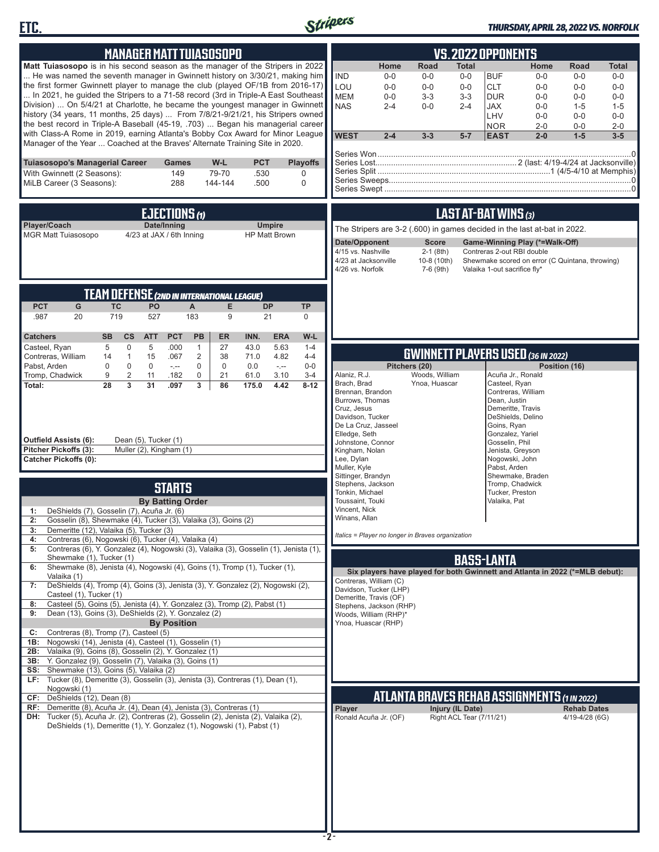



### *THURSDAY, APRIL 28, 2022 VS. NORFOLK*

| <b>MANAGER MATT TUIASOSOPO</b>                                                                                                                                                                                                                                                                                                                                                                                                                                                                                                                                                                                                                                                                                                                                | VS.2022 OPPONENTS                                                                                                                                                                                                                                                                                                                                                                                                                                                                                                                                                                           |  |  |  |
|---------------------------------------------------------------------------------------------------------------------------------------------------------------------------------------------------------------------------------------------------------------------------------------------------------------------------------------------------------------------------------------------------------------------------------------------------------------------------------------------------------------------------------------------------------------------------------------------------------------------------------------------------------------------------------------------------------------------------------------------------------------|---------------------------------------------------------------------------------------------------------------------------------------------------------------------------------------------------------------------------------------------------------------------------------------------------------------------------------------------------------------------------------------------------------------------------------------------------------------------------------------------------------------------------------------------------------------------------------------------|--|--|--|
| Matt Tuiasosopo is in his second season as the manager of the Stripers in 2022<br>He was named the seventh manager in Gwinnett history on 3/30/21, making him<br>the first former Gwinnett player to manage the club (played OF/1B from 2016-17)<br>In 2021, he quided the Stripers to a 71-58 record (3rd in Triple-A East Southeast<br>Division)  On 5/4/21 at Charlotte, he became the youngest manager in Gwinnett<br>history (34 years, 11 months, 25 days)  From 7/8/21-9/21/21, his Stripers owned<br>the best record in Triple-A Baseball (45-19, .703)  Began his managerial career<br>with Class-A Rome in 2019, earning Atlanta's Bobby Cox Award for Minor League<br>Manager of the Year  Coached at the Braves' Alternate Training Site in 2020. | Road<br>Home<br>Home<br><b>Total</b><br>Total<br>Road<br><b>IND</b><br>$0-0$<br>$0-0$<br><b>BUF</b><br>$0-0$<br>$0-0$<br>$0-0$<br>$0-0$<br>LOU<br><b>CLT</b><br>$0-0$<br>$0-0$<br>$0-0$<br>$0 - 0$<br>$0 - 0$<br>$0 - 0$<br><b>MEM</b><br>$0 - 0$<br>$3 - 3$<br>$3-3$<br><b>DUR</b><br>$0 - 0$<br>$0-0$<br>$0-0$<br><b>NAS</b><br>$2 - 4$<br>$0-0$<br>$2 - 4$<br><b>JAX</b><br>$0 - 0$<br>$1 - 5$<br>$1 - 5$<br>LHV<br>$0 - 0$<br>$0-0$<br>$0-0$<br><b>NOR</b><br>$2 - 0$<br>$0-0$<br>$2 - 0$<br><b>WEST</b><br>$1 - 5$<br>$2 - 4$<br>$3 - 3$<br>$5-7$<br><b>EAST</b><br>$2 - 0$<br>$3 - 5$ |  |  |  |
| <b>PCT</b><br>Tuiasosopo's Managerial Career<br>W-L<br><b>Playoffs</b><br>Games<br>With Gwinnett (2 Seasons):<br>149<br>79-70<br>.530<br>0<br>MiLB Career (3 Seasons):<br>288<br>.500<br>144-144<br>0                                                                                                                                                                                                                                                                                                                                                                                                                                                                                                                                                         |                                                                                                                                                                                                                                                                                                                                                                                                                                                                                                                                                                                             |  |  |  |
| EJECTIONS $\omega$<br>Date/Inning<br>Player/Coach<br><b>Umpire</b><br><b>MGR Matt Tuiasosopo</b><br>4/23 at JAX / 6th Inning<br><b>HP Matt Brown</b>                                                                                                                                                                                                                                                                                                                                                                                                                                                                                                                                                                                                          | LAST AT-BAT WINS (3)<br>The Stripers are 3-2 (.600) in games decided in the last at-bat in 2022.<br><b>Score</b><br>Date/Opponent<br>Game-Winning Play (*=Walk-Off)<br>4/15 vs. Nashville<br>$2-1$ (8th)<br>Contreras 2-out RBI double<br>4/23 at Jacksonville<br>10-8 (10th)<br>Shewmake scored on error (C Quintana, throwing)<br>4/26 vs. Norfolk<br>7-6 (9th)<br>Valaika 1-out sacrifice fly*                                                                                                                                                                                           |  |  |  |
| <b>TEAM DEFENSE (2ND IN INTERNATIONAL LEAGUE)</b><br><b>TC</b><br><b>PCT</b><br>G<br>PO<br>$\mathsf{A}$<br>E<br><b>DP</b><br><b>TP</b><br>719<br>527<br>183<br>9<br>21<br>.987<br>20<br>$\mathbf 0$<br><b>PCT</b><br>W-L<br><b>Catchers</b><br><b>SB</b><br>cs<br><b>ATT</b><br>PB<br><b>ER</b><br>INN.<br><b>ERA</b>                                                                                                                                                                                                                                                                                                                                                                                                                                         |                                                                                                                                                                                                                                                                                                                                                                                                                                                                                                                                                                                             |  |  |  |
| 0<br>5<br>27<br>.000<br>43.0<br>$1 - 4$<br>Casteel, Ryan<br>5<br>$\mathbf{1}$<br>5.63<br>Contreras, William<br>$\mathbf{1}$<br>15<br>.067<br>$\overline{c}$<br>38<br>4.82<br>$4 - 4$<br>71.0<br>14<br>Pabst, Arden<br>$\mathbf 0$<br>$\mathbf 0$<br>$\mathbf 0$<br>$-1$<br>$\mathbf 0$<br>$\mathbf 0$<br>0.0<br>$0-0$<br>$\sim$<br>$\overline{2}$<br>Tromp, Chadwick<br>11<br>0<br>21<br>61.0<br>3.10<br>$3 - 4$<br>9<br>.182<br>$\overline{3}$<br>28<br>31<br>3<br>4.42<br>$8 - 12$<br>Total:<br>.097<br>86<br>175.0<br>Outfield Assists (6):<br>Dean (5), Tucker (1)<br>Pitcher Pickoffs (3):<br>Muller (2), Kingham (1)<br><b>Catcher Pickoffs (0):</b>                                                                                                    | <b>GWINNETT PLAYERS USED (36 IN 2022)</b><br>Pitchers (20)<br>Position (16)<br>Alaniz, R.J.<br>Woods, William<br>Acuña Jr., Ronald<br>Brach, Brad<br>Casteel, Ryan<br>Ynoa, Huascar<br>Brennan, Brandon<br>Contreras, William<br>Burrows, Thomas<br>Dean, Justin<br>Cruz, Jesus<br>Demeritte, Travis<br>Davidson, Tucker<br>DeShields, Delino<br>De La Cruz, Jasseel<br>Goins, Ryan<br>Elledge, Seth<br>Gonzalez, Yariel<br>Johnstone, Connor<br>Gosselin, Phil<br>Kingham, Nolan<br>Jenista, Greyson<br>Lee, Dylan<br>Nogowski, John                                                       |  |  |  |
| <b>STARTS</b><br><b>By Batting Order</b><br>DeShields (7), Gosselin (7), Acuña Jr. (6)<br>Gosselin (8), Shewmake (4), Tucker (3), Valaika (3), Goins (2)<br>2:<br>Demeritte (12), Valaika (5), Tucker (3)<br>3:<br>Contreras (6), Nogowski (6), Tucker (4), Valaika (4)<br>4:<br>Contreras (6), Y. Gonzalez (4), Nogowski (3), Valaika (3), Gosselin (1), Jenista (1),<br>5:                                                                                                                                                                                                                                                                                                                                                                                  | Muller, Kyle<br>Pabst, Arden<br>Sittinger, Brandyn<br>Shewmake, Braden<br>Stephens, Jackson<br>Tromp, Chadwick<br>Tonkin, Michael<br>Tucker, Preston<br>Toussaint. Touki<br>Valaika, Pat<br>Vincent, Nick<br>Winans, Allan<br>Italics = Player no longer in Braves organization                                                                                                                                                                                                                                                                                                             |  |  |  |
| Shewmake (1), Tucker (1)<br><b>BASS-LANTA</b><br>Shewmake (8), Jenista (4), Nogowski (4), Goins (1), Tromp (1), Tucker (1),<br>6:<br>Six players have played for both Gwinnett and Atlanta in 2022 (*=MLB debut):<br>Valaika (1)<br>Contreras, William (C)<br>DeShields (4), Tromp (4), Goins (3), Jenista (3), Y. Gonzalez (2), Nogowski (2),<br>7:<br>Davidson, Tucker (LHP)<br>Casteel (1), Tucker (1)<br>Demeritte, Travis (OF)<br>Casteel (5), Goins (5), Jenista (4), Y. Gonzalez (3), Tromp (2), Pabst (1)<br>8:<br>Stephens, Jackson (RHP)<br>Dean (13), Goins (3), DeShields (2), Y. Gonzalez (2)<br>9:<br>Woods, William (RHP)*<br><b>By Position</b><br>Ynoa, Huascar (RHP)<br>Contreras (8), Tromp (7), Casteel (5)<br>C:                         |                                                                                                                                                                                                                                                                                                                                                                                                                                                                                                                                                                                             |  |  |  |
| 2B: Valaika (9), Goins (8), Gosselin (2), Y. Gonzalez (1)<br>3B: Y. Gonzalez (9), Gosselin (7), Valaika (3), Goins (1)<br>SS: Shewmake (13), Goins (5), Valaika (2)<br>LF: Tucker (8), Demeritte (3), Gosselin (3), Jenista (3), Contreras (1), Dean (1),<br>Nogowski (1)<br>CF: DeShields (12), Dean (8)<br>RF: Demeritte (8), Acuña Jr. (4), Dean (4), Jenista (3), Contreras (1)<br>DH: Tucker (5), Acuña Jr. (2), Contreras (2), Gosselin (2), Jenista (2), Valaika (2),<br>DeShields (1), Demeritte (1), Y. Gonzalez (1), Nogowski (1), Pabst (1)                                                                                                                                                                                                        | ATLANTA BRAVES REHAB ASSIGNMENTS (1 IN 2022)<br>Injury (IL Date)<br><b>Rehab Dates</b><br><b>Player</b><br>Right ACL Tear (7/11/21)<br>Ronald Acuña Jr. (OF)<br>4/19-4/28 (6G)                                                                                                                                                                                                                                                                                                                                                                                                              |  |  |  |
|                                                                                                                                                                                                                                                                                                                                                                                                                                                                                                                                                                                                                                                                                                                                                               |                                                                                                                                                                                                                                                                                                                                                                                                                                                                                                                                                                                             |  |  |  |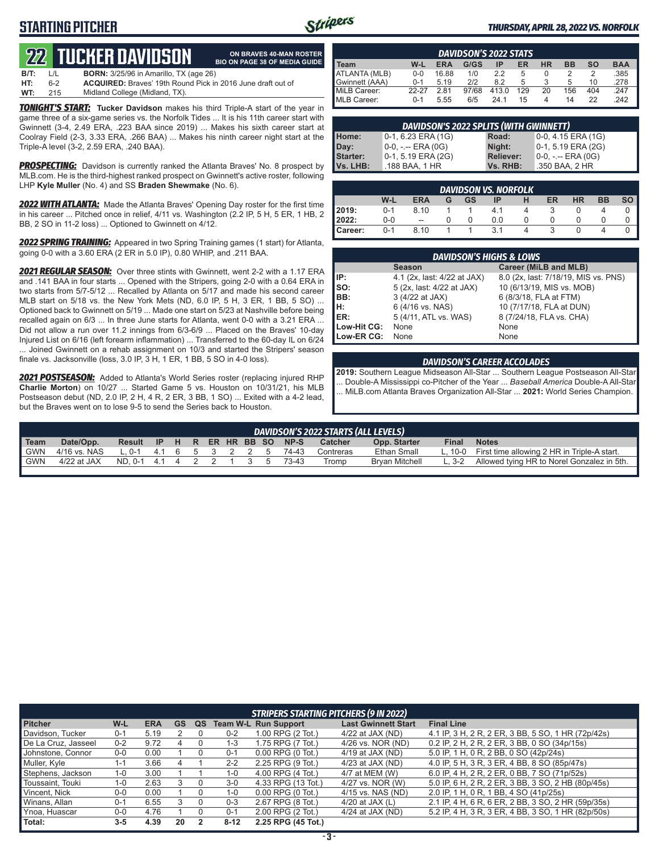## **STARTING PITCHER**



**ON BRAVES 40-MAN ROSTER**

### *THURSDAY, APRIL 28, 2022 VS. NORFOLK*

# **22****TUCKER DAVIDSON**

|      |         | 744 TUGNEN DAVIDƏDIY                                               | <b>BIO ON PAGE 38 OF MEDIA GUIDE</b> |
|------|---------|--------------------------------------------------------------------|--------------------------------------|
| B/T: | $\perp$ | <b>BORN:</b> 3/25/96 in Amarillo, TX (age 26)                      |                                      |
| HT:  | հ-2     | <b>ACQUIRED:</b> Braves' 19th Round Pick in 2016 June draft out of |                                      |
| WT:  | 215     | Midland College (Midland, TX).                                     |                                      |

*TONIGHT'S START:* **Tucker Davidson** makes his third Triple-A start of the year in game three of a six-game series vs. the Norfolk Tides ... It is his 11th career start with Gwinnett (3-4, 2.49 ERA, .223 BAA since 2019) ... Makes his sixth career start at Coolray Field (2-3, 3.33 ERA, .266 BAA) ... Makes his ninth career night start at the Triple-A level (3-2, 2.59 ERA, .240 BAA).

*PROSPECTING:* Davidson is currently ranked the Atlanta Braves' No. 8 prospect by MLB.com. He is the third-highest ranked prospect on Gwinnett's active roster, following LHP **Kyle Muller** (No. 4) and SS **Braden Shewmake** (No. 6).

*2022 WITH ATLANTA:* Made the Atlanta Braves' Opening Day roster for the first time in his career ... Pitched once in relief, 4/11 vs. Washington (2.2 IP, 5 H, 5 ER, 1 HB, 2 BB, 2 SO in 11-2 loss) ... Optioned to Gwinnett on 4/12.

*2022 SPRING TRAINING:* Appeared in two Spring Training games (1 start) for Atlanta, going 0-0 with a 3.60 ERA (2 ER in 5.0 IP), 0.80 WHIP, and .211 BAA.

*2021 REGULAR SEASON:* Over three stints with Gwinnett, went 2-2 with a 1.17 ERA and .141 BAA in four starts ... Opened with the Stripers, going 2-0 with a 0.64 ERA in two starts from 5/7-5/12 ... Recalled by Atlanta on 5/17 and made his second career MLB start on 5/18 vs. the New York Mets (ND, 6.0 IP, 5 H, 3 ER, 1 BB, 5 SO) ... Optioned back to Gwinnett on 5/19 ... Made one start on 5/23 at Nashville before being recalled again on 6/3 ... In three June starts for Atlanta, went 0-0 with a 3.21 ERA ... Did not allow a run over 11.2 innings from 6/3-6/9 ... Placed on the Braves' 10-day Injured List on 6/16 (left forearm inflammation) ... Transferred to the 60-day IL on 6/24 ... Joined Gwinnett on a rehab assignment on 10/3 and started the Stripers' season finale vs. Jacksonville (loss, 3.0 IP, 3 H, 1 ER, 1 BB, 5 SO in 4-0 loss).

*2021 POSTSEASON:* Added to Atlanta's World Series roster (replacing injured RHP **Charlie Morton**) on 10/27 ... Started Game 5 vs. Houston on 10/31/21, his MLB Postseason debut (ND, 2.0 IP, 2 H, 4 R, 2 ER, 3 BB, 1 SO) ... Exited with a 4-2 lead, but the Braves went on to lose 9-5 to send the Series back to Houston.

| <b>DAVIDSON'S 2022 STATS</b>                                                                  |         |       |       |       |     |    |     |     |      |
|-----------------------------------------------------------------------------------------------|---------|-------|-------|-------|-----|----|-----|-----|------|
| l Team<br><b>BAA</b><br>G/GS<br><b>ERA</b><br>ER<br>НR<br><b>BB</b><br><b>SO</b><br>W-L<br>ΙP |         |       |       |       |     |    |     |     |      |
| ATLANTA (MLB)                                                                                 | $0 - 0$ | 16.88 | 1/0   | 22    | 5   |    |     |     | .385 |
| Gwinnett (AAA)                                                                                | $0 - 1$ | 5 1 9 | 212   | 82    |     |    |     | 10  | .278 |
| MiLB Career:                                                                                  | 22-27   | 2.81  | 97/68 | 413.0 | 129 | 20 | 156 | 404 | .247 |
| MLB Career:                                                                                   | $0 - 1$ | 5.55  | 6/5   | 24 1  | 15  |    | 14  | 22  | 242  |

|                           | DAVIDSON'S 2022 SPLITS (WITH GWINNETT) |                  |                       |
|---------------------------|----------------------------------------|------------------|-----------------------|
|                           | $0-1, 6.23$ ERA (1G)                   | Road:            | $0-0$ , 4.15 ERA (1G) |
| Home:<br>Day:<br>Starter: | 0-0, -.-- ERA (0G)                     | Night:           | 0-1, 5.19 ERA (2G)    |
|                           | 0-1, 5.19 ERA (2G)                     | <b>Reliever:</b> | $0-0, - -$ ERA (0G)   |
| Vs. LHB:                  | .188 BAA, 1 HR                         | Vs. RHB:         | .350 BAA, 2 HR        |

|         | <b>DAVIDSON VS. NORFOLK</b> |            |   |           |     |   |    |           |           |      |  |  |  |
|---------|-----------------------------|------------|---|-----------|-----|---|----|-----------|-----------|------|--|--|--|
|         | W-L                         | <b>ERA</b> | G | <b>GS</b> | ΙP  | н | ER | <b>HR</b> | <b>BB</b> | so l |  |  |  |
| 2019:   | $0 - 1$                     | 8.10       |   |           | 4.1 |   |    |           |           |      |  |  |  |
| 2022:   | $0-0$                       | --         |   |           | 0.0 |   |    |           |           |      |  |  |  |
| Career: | $0 - 1$                     | 8.10       |   |           | 3.1 |   | ર  |           |           |      |  |  |  |

|             | <b>DAVIDSON'S HIGHS &amp; LOWS</b> |                                      |
|-------------|------------------------------------|--------------------------------------|
|             | <b>Season</b>                      | Career (MiLB and MLB)                |
| IP:         | 4.1 (2x, last: 4/22 at JAX)        | 8.0 (2x, last: 7/18/19, MIS vs. PNS) |
| Iso:        | 5 (2x, last: 4/22 at JAX)          | 10 (6/13/19, MIS vs. MOB)            |
| BB:         | 3 (4/22 at JAX)                    | 6 (8/3/18, FLA at FTM)               |
| Iн:         | 6 (4/16 vs. NAS)                   | 10 (7/17/18, FLA at DUN)             |
| <b>IER:</b> | 5 (4/11, ATL vs. WAS)              | 8 (7/24/18, FLA vs. CHA)             |
| Low-Hit CG: | None                               | None                                 |
| Low-ER CG:  | None                               | None                                 |

#### *DAVIDSON'S CAREER ACCOLADES*

**2019:** Southern League Midseason All-Star ... Southern League Postseason All-Star ... Double-A Mississippi co-Pitcher of the Year ... *Baseball America* Double-A All-Star ... MiLB.com Atlanta Braves Organization All-Star ... **2021:** World Series Champion.

|             | DAVIDSON'S 2022 STARTS (ALL LEVELS) |                                |  |  |  |  |  |             |  |         |           |                       |              |                                                     |
|-------------|-------------------------------------|--------------------------------|--|--|--|--|--|-------------|--|---------|-----------|-----------------------|--------------|-----------------------------------------------------|
| <b>Team</b> | Date/Opp.                           | Result IP H R ER HR BB SO NP-S |  |  |  |  |  |             |  |         | Catcher   | Opp. Starter          | <b>Final</b> | <b>Notes</b>                                        |
| I GWN       | 4/16 vs. NAS                        | L.0-1 4.1 6 5 3 2 2 5          |  |  |  |  |  |             |  | 74-43   | Contreras | Ethan Small           |              | L, 10-0 First time allowing 2 HR in Triple-A start. |
| <b>GWN</b>  | $4/22$ at JAX                       | ND. 0-1 4.1 4 2 2 1            |  |  |  |  |  | $3 \quad 5$ |  | - 73-43 | Tromp     | <b>Brvan Mitchell</b> |              | L, 3-2 Allowed tying HR to Norel Gonzalez in 5th.   |
|             |                                     |                                |  |  |  |  |  |             |  |         |           |                       |              |                                                     |

|                     |         |            |    |    |         | <b>STRIPERS STARTING PITCHERS (9 IN 2022)</b> |                            |                                                    |
|---------------------|---------|------------|----|----|---------|-----------------------------------------------|----------------------------|----------------------------------------------------|
| <b>Pitcher</b>      | $W-L$   | <b>ERA</b> | GS | QS |         | <b>Team W-L Run Support</b>                   | <b>Last Gwinnett Start</b> | <b>Final Line</b>                                  |
| Davidson, Tucker    | $0 - 1$ | 5.19       |    |    | $0 - 2$ | 1.00 RPG (2 Tot.)                             | $4/22$ at JAX (ND)         | 4.1 IP, 3 H, 2 R, 2 ER, 3 BB, 5 SO, 1 HR (72p/42s) |
| De La Cruz, Jasseel | $0 - 2$ | 9.72       |    |    | $1 - 3$ | 1.75 RPG (7 Tot.)                             | 4/26 vs. NOR (ND)          | 0.2 IP, 2 H, 2 R, 2 ER, 3 BB, 0 SO (34p/15s)       |
| Johnstone, Connor   | $0-0$   | 0.00       |    |    | $0 - 1$ | $0.00$ RPG $(0$ Tot.)                         | $4/19$ at JAX (ND)         | 5.0 IP, 1 H, 0 R, 2 BB, 0 SO (42p/24s)             |
| Muller, Kyle        | $1 - 1$ | 3.66       |    |    | $2 - 2$ | 2.25 RPG (9 Tot.)                             | $4/23$ at JAX (ND)         | 4.0 IP, 5 H, 3 R, 3 ER, 4 BB, 8 SO (85p/47s)       |
| Stephens, Jackson   | $1 - 0$ | 3.00       |    |    | $1 - 0$ | 4.00 RPG (4 Tot.)                             | 4/7 at MEM (W)             | 6.0 IP, 4 H, 2 R, 2 ER, 0 BB, 7 SO (71p/52s)       |
| Toussaint, Touki    | $1 - 0$ | 2.63       |    |    | $3-0$   | 4.33 RPG (13 Tot.)                            | 4/27 vs. NOR (W)           | 5.0 IP, 6 H, 2 R, 2 ER, 3 BB, 3 SO, 2 HB (80p/45s) |
| Vincent, Nick       | $0-0$   | 0.00       |    |    | $1 - 0$ | $0.00$ RPG $(0$ Tot.)                         | 4/15 vs. NAS (ND)          | 2.0 IP, 1 H, 0 R, 1 BB, 4 SO (41p/25s)             |
| Winans, Allan       | $0 - 1$ | 6.55       |    |    | $0 - 3$ | 2.67 RPG (8 Tot.)                             | 4/20 at JAX $(L)$          | 2.1 IP, 4 H, 6 R, 6 ER, 2 BB, 3 SO, 2 HR (59p/35s) |
| Ynoa, Huascar       | $0-0$   | 4.76       |    |    | $0 - 1$ | 2.00 RPG (2 Tot.)                             | $4/24$ at JAX (ND)         | 5.2 IP, 4 H, 3 R, 3 ER, 4 BB, 3 SO, 1 HR (82p/50s) |
| Total:              | $3 - 5$ | 4.39       | 20 |    | $8-12$  | 2.25 RPG (45 Tot.)                            |                            |                                                    |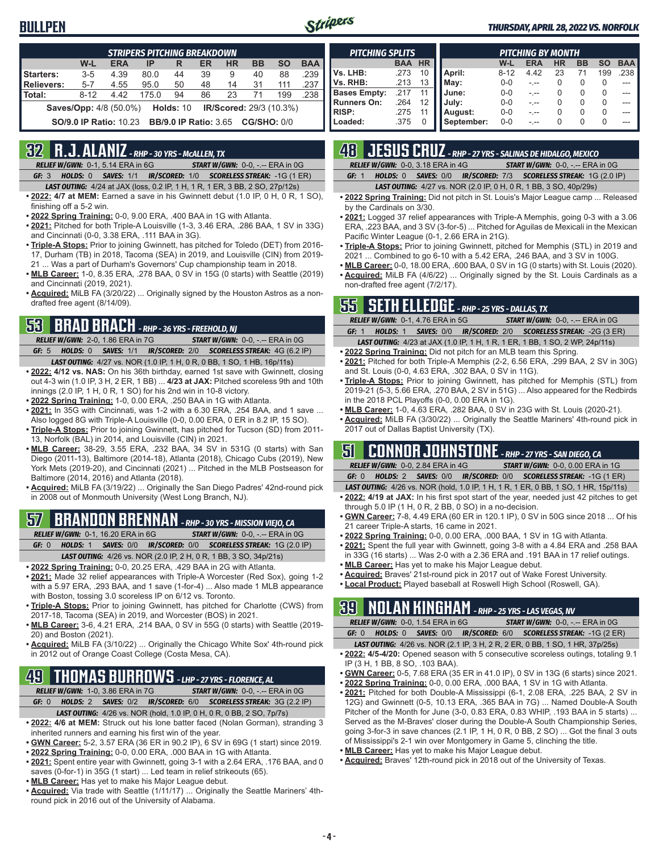## **BULLPEN**



#### *THURSDAY, APRIL 28, 2022 VS. NORFOLK*

|                   | <b>STRIPERS PITCHING BREAKDOWN</b> |            |       |                                          |    |                                |           |           |            |  |  |  |
|-------------------|------------------------------------|------------|-------|------------------------------------------|----|--------------------------------|-----------|-----------|------------|--|--|--|
|                   | W-L                                | <b>ERA</b> | IP    | R                                        | ER | <b>HR</b>                      | <b>BB</b> | <b>SO</b> | <b>BAA</b> |  |  |  |
| Starters:         | $3 - 5$                            | 4.39       | 80.0  | 44                                       | 39 | 9                              | 40        | 88        | .239       |  |  |  |
| <b>Relievers:</b> | $5 - 7$                            | 4.55       | 95.0  | 50                                       | 48 | 14                             | 31        | 111       | .237       |  |  |  |
| Total:            | $8 - 12$                           | 4.42       | 175.0 | 94                                       | 86 | 23                             | 71        | 199       | .238       |  |  |  |
|                   | <b>Saves/Opp:</b> 4/8 (50.0%)      |            |       | <b>Holds: 10</b>                         |    | <b>IR/Scored:</b> 29/3 (10.3%) |           |           |            |  |  |  |
|                   | <b>SO/9.0 IP Ratio: 10.23</b>      |            |       | <b>BB/9.0 IP Ratio: 3.65 CG/SHO: 0/0</b> |    |                                |           |           |            |  |  |  |

## **32 R.J. ALANIZ** *- RHP - 30 YRS - McALLEN, TX*

*RELIEF W/GWN:*0-1, 5.14 ERA in 6G *START W/GWN:*0-0, -.-- ERA in 0G *GF:*3 *HOLDS:*0 *SAVES:*1/1 *IR/SCORED:*1/0 *SCORELESS STREAK:*-1G (1 ER)

- *LAST OUTING:*4/24 at JAX (loss, 0.2 IP, 1 H, 1 R, 1 ER, 3 BB, 2 SO, 27p/12s)
- **• 2022: 4/7 at MEM:** Earned a save in his Gwinnett debut (1.0 IP, 0 H, 0 R, 1 SO), finishing off a 5-2 win.
- **• 2022 Spring Training:** 0-0, 9.00 ERA, .400 BAA in 1G with Atlanta.
- **• 2021:** Pitched for both Triple-A Louisville (1-3, 3.46 ERA, .286 BAA, 1 SV in 33G) and Cincinnati (0-0, 3.38 ERA, .111 BAA in 3G).
- **• Triple-A Stops:** Prior to joining Gwinnett, has pitched for Toledo (DET) from 2016- 17, Durham (TB) in 2018, Tacoma (SEA) in 2019, and Louisville (CIN) from 2019- 21 ... Was a part of Durham's Governors' Cup championship team in 2018.
- **• MLB Career:** 1-0, 8.35 ERA, .278 BAA, 0 SV in 15G (0 starts) with Seattle (2019) and Cincinnati (2019, 2021).
- **• Acquired:** MiLB FA (3/20/22) ... Originally signed by the Houston Astros as a nondrafted free agent (8/14/09).

## **53 BRAD BRACH** *- RHP - 36 YRS - FREEHOLD, NJ*

- *RELIEF W/GWN:*2-0, 1.86 ERA in 7G *START W/GWN:*0-0, -.-- ERA in 0G *GF:*5 *HOLDS:*0 *SAVES:*1/1 *IR/SCORED:*2/0 *SCORELESS STREAK:*4G (6.2 IP)
- *LAST OUTING:*4/27 vs. NOR (1.0 IP, 1 H, 0 R, 0 BB, 1 SO, 1 HB, 16p/11s) **• 2022: 4/12 vs. NAS:** On his 36th birthday, earned 1st save with Gwinnett, closing out 4-3 win (1.0 IP, 3 H, 2 ER, 1 BB) ... **4/23 at JAX:** Pitched scoreless 9th and 10th innings (2.0 IP, 1 H, 0 R, 1 SO) for his 2nd win in 10-8 victory.
- **• 2022 Spring Training:** 1-0, 0.00 ERA, .250 BAA in 1G with Atlanta.
- **• 2021:** In 35G with Cincinnati, was 1-2 with a 6.30 ERA, .254 BAA, and 1 save ... Also logged 8G with Triple-A Louisville (0-0, 0.00 ERA, 0 ER in 8.2 IP, 15 SO).
- **• Triple-A Stops:** Prior to joining Gwinnett, has pitched for Tucson (SD) from 2011- 13, Norfolk (BAL) in 2014, and Louisville (CIN) in 2021.
- **• MLB Career:** 38-29, 3.55 ERA, .232 BAA, 34 SV in 531G (0 starts) with San Diego (2011-13), Baltimore (2014-18), Atlanta (2018), Chicago Cubs (2019), New York Mets (2019-20), and Cincinnati (2021) ... Pitched in the MLB Postseason for Baltimore (2014, 2016) and Atlanta (2018).
- **• Acquired:** MiLB FA (3/19/22) ... Originally the San Diego Padres' 42nd-round pick in 2008 out of Monmouth University (West Long Branch, NJ).

## **57 BRANDON BRENNAN** *- RHP - 30 YRS - MISSION VIEJO, CA*

*RELIEF W/GWN:*0-1, 16.20 ERA in 6G *START W/GWN:*0-0, -.-- ERA in 0G *GF:*0 *HOLDS:*1 *SAVES:*0/0 *IR/SCORED:*0/0 *SCORELESS STREAK:*1G (2.0 IP)

- *LAST OUTING:*4/26 vs. NOR (2.0 IP, 2 H, 0 R, 1 BB, 3 SO, 34p/21s)
- **• 2022 Spring Training:** 0-0, 20.25 ERA, .429 BAA in 2G with Atlanta.
- **• 2021:** Made 32 relief appearances with Triple-A Worcester (Red Sox), going 1-2 with a 5.97 ERA, .293 BAA, and 1 save (1-for-4) ... Also made 1 MLB appearance with Boston, tossing 3.0 scoreless IP on 6/12 vs. Toronto.
- **• Triple-A Stops:** Prior to joining Gwinnett, has pitched for Charlotte (CWS) from 2017-18, Tacoma (SEA) in 2019, and Worcester (BOS) in 2021.
- **• MLB Career:** 3-6, 4.21 ERA, .214 BAA, 0 SV in 55G (0 starts) with Seattle (2019- 20) and Boston (2021).
- **• Acquired:** MiLB FA (3/10/22) ... Originally the Chicago White Sox' 4th-round pick in 2012 out of Orange Coast College (Costa Mesa, CA).

## **49 THOMAS BURROWS** *- LHP - 27 YRS - FLORENCE, AL*

*RELIEF W/GWN:*1-0, 3.86 ERA in 7G *START W/GWN:*0-0, -.-- ERA in 0G

- *GF:*0 *HOLDS:*2 *SAVES:*0/2 *IR/SCORED:*6/0 *SCORELESS STREAK:*3G (2.2 IP) *LAST OUTING:*4/26 vs. NOR (hold, 1.0 IP, 0 H, 0 R, 0 BB, 2 SO, 7p/7s)
- **• 2022: 4/6 at MEM:** Struck out his lone batter faced (Nolan Gorman), stranding 3 inherited runners and earning his first win of the year.
- **• GWN Career:** 5-2, 3.57 ERA (36 ER in 90.2 IP), 6 SV in 69G (1 start) since 2019.
- **• 2022 Spring Training:** 0-0, 0.00 ERA, .000 BAA in 1G with Atlanta.
- **• 2021:** Spent entire year with Gwinnett, going 3-1 with a 2.64 ERA, .176 BAA, and 0 saves (0-for-1) in 35G (1 start) ... Led team in relief strikeouts (65).
- **• MLB Career:** Has yet to make his Major League debut.
- **• Acquired:** Via trade with Seattle (1/11/17) ... Originally the Seattle Mariners' 4thround pick in 2016 out of the University of Alabama.

| <b>PITCHING SPLITS</b> |            |           |            |          | <b>PITCHING BY MONTH</b> |              |                  |          |            |
|------------------------|------------|-----------|------------|----------|--------------------------|--------------|------------------|----------|------------|
|                        | <b>BAA</b> | <b>HR</b> |            | W-L      | <b>ERA</b>               | <b>HR</b>    | <b>BB</b>        | SO       | <b>BAA</b> |
| Vs. LHB:               | .273       | 10        | April:     | $8 - 12$ | 4.42                     | 23           | 71               | 199      | .238 l     |
| Vs. RHB:               | .213       | 13        | Mav:       | $0 - 0$  |                          |              | O                |          |            |
| <b>Bases Empty:</b>    | 217        |           | June:      | $0 - 0$  |                          | $\mathbf{I}$ | $\left( \right)$ | O        |            |
| <b>Runners On:</b>     | .264       | 12        | July:      | $0 - 0$  |                          |              | $\Omega$         | 0        |            |
| <b>RISP:</b>           | .275       |           | August:    | $0 - 0$  |                          |              | $\Omega$         | 0        |            |
| Loaded:                | .375       |           | September: | $0 - 0$  |                          |              |                  | $\Omega$ |            |

## **48 JESUS CRUZ** *- RHP - 27 YRS - SALINAS DE HIDALGO, MEXICO*

|       |                                                                         | the contract of the contract of the contract of the contract of the contract of the contract of the contract o |  |
|-------|-------------------------------------------------------------------------|----------------------------------------------------------------------------------------------------------------|--|
|       | <b>RELIEF W/GWN: 0-0, 3.18 ERA in 4G</b>                                | <b>START W/GWN: 0-0, -.-- ERA in 0G</b>                                                                        |  |
| GE: 1 | <b>HOLDS: 0 SAVES: 0/0 IR/SCORED: 7/3 SCORELESS STREAK: 1G (2.0 IP)</b> |                                                                                                                |  |

*LAST OUTING:*4/27 vs. NOR (2.0 IP, 0 H, 0 R, 1 BB, 3 SO, 40p/29s)

- **• 2022 Spring Training:** Did not pitch in St. Louis's Major League camp ... Released by the Cardinals on 3/30.
- **• 2021:** Logged 37 relief appearances with Triple-A Memphis, going 0-3 with a 3.06 ERA, .223 BAA, and 3 SV (3-for-5) ... Pitched for Aguilas de Mexicali in the Mexican Pacific Winter League (0-1, 2.66 ERA in 21G).
- **• Triple-A Stops:** Prior to joining Gwinnett, pitched for Memphis (STL) in 2019 and 2021 ... Combined to go 6-10 with a 5.42 ERA, .246 BAA, and 3 SV in 100G.
- **• MLB Career:** 0-0, 18.00 ERA, .600 BAA, 0 SV in 1G (0 starts) with St. Louis (2020). **• Acquired:** MiLB FA (4/6/22) ... Originally signed by the St. Louis Cardinals as a non-drafted free agent (7/2/17).

## **55 SETH ELLEDGE** *- RHP - 25 YRS - DALLAS, TX*

|       | <b>RELIEF W/GWN: 0-1, 4.76 ERA in 5G</b> | <b>START W/GWN: 0-0, -.-- ERA in 0G</b>                                             |
|-------|------------------------------------------|-------------------------------------------------------------------------------------|
| GF: 1 |                                          | <b>HOLDS: 1 SAVES: 0/0 IR/SCORED: 2/0 SCORELESS STREAK: -2G (3 ER)</b>              |
|       |                                          | <b>LAST OUTING:</b> 4/23 at JAX (1.0 IP, 1 H, 1 R, 1 ER, 1 BB, 1 SO, 2 WP, 24p/11s) |

- **• 2022 Spring Training:** Did not pitch for an MLB team this Spring. **• 2021:** Pitched for both Triple-A Memphis (2-2, 6.56 ERA, .299 BAA, 2 SV in 30G)
- and St. Louis (0-0, 4.63 ERA, .302 BAA, 0 SV in 11G). **• Triple-A Stops:** Prior to joining Gwinnett, has pitched for Memphis (STL) from 2019-21 (5-3, 5.66 ERA, .270 BAA, 2 SV in 51G) ... Also appeared for the Redbirds in the 2018 PCL Playoffs (0-0, 0.00 ERA in 1G).
- **• MLB Career:** 1-0, 4.63 ERA, .282 BAA, 0 SV in 23G with St. Louis (2020-21).
- **• Acquired:** MiLB FA (3/30/22) ... Originally the Seattle Mariners' 4th-round pick in 2017 out of Dallas Baptist University (TX).

## **51 CONNOR JOHNSTONE** *- RHP - 27 YRS - SAN DIEGO, CA*

*RELIEF W/GWN:*0-0, 2.84 ERA in 4G *START W/GWN:*0-0, 0.00 ERA in 1G *GF:*0 *HOLDS:*2 *SAVES:*0/0 *IR/SCORED:*0/0 *SCORELESS STREAK:*-1G (1 ER)

- *LAST OUTING:*4/26 vs. NOR (hold, 1.0 IP, 1 H, 1 R, 1 ER, 0 BB, 1 SO, 1 HR, 15p/11s)
- **• 2022: 4/19 at JAX:** In his first spot start of the year, needed just 42 pitches to get through 5.0 IP (1 H, 0 R, 2 BB, 0 SO) in a no-decision.
- **• GWN Career:** 7-8, 4.49 ERA (60 ER in 120.1 IP), 0 SV in 50G since 2018 ... Of his 21 career Triple-A starts, 16 came in 2021.
- **• 2022 Spring Training:** 0-0, 0.00 ERA, .000 BAA, 1 SV in 1G with Atlanta.
- **• 2021:** Spent the full year with Gwinnett, going 3-8 with a 4.84 ERA and .258 BAA in 33G (16 starts) ... Was 2-0 with a 2.36 ERA and .191 BAA in 17 relief outings.
- **• MLB Career:** Has yet to make his Major League debut.
- **• Acquired:** Braves' 21st-round pick in 2017 out of Wake Forest University.
- **• Local Product:** Played baseball at Roswell High School (Roswell, GA).

## **39 NOLAN KINGHAM** *- RHP - 25 YRS - LAS VEGAS, NV*

|  | <b>RELIEF W/GWN: 0-0. 1.54 ERA in 6G</b> | <b>START W/GWN: <math>0-0</math>.</b> -.-- ERA in $0G$                       |
|--|------------------------------------------|------------------------------------------------------------------------------|
|  |                                          | <b>GF: 0 HOLDS: 0 SAVES: 0/0 IR/SCORED: 6/0 SCORELESS STREAK: -1G (2 ER)</b> |

- *LAST OUTING:*4/26 vs. NOR (2.1 IP, 3 H, 2 R, 2 ER, 0 BB, 1 SO, 1 HR, 37p/25s) **• 2022: 4/5-4/20:** Opened season with 5 consecutive scoreless outings, totaling 9.1
- IP (3 H, 1 BB, 8 SO, .103 BAA). **• GWN Career:** 0-5, 7.68 ERA (35 ER in 41.0 IP), 0 SV in 13G (6 starts) since 2021.
- 
- **• 2022 Spring Training:** 0-0, 0.00 ERA, .000 BAA, 1 SV in 1G with Atlanta. **• 2021:** Pitched for both Double-A Mississippi (6-1, 2.08 ERA, .225 BAA, 2 SV in 12G) and Gwinnett (0-5, 10.13 ERA, .365 BAA in 7G) ... Named Double-A South Pitcher of the Month for June (3-0, 0.83 ERA, 0.83 WHIP, .193 BAA in 5 starts) ...
- Served as the M-Braves' closer during the Double-A South Championship Series, going 3-for-3 in save chances (2.1 IP, 1 H, 0 R, 0 BB, 2 SO) ... Got the final 3 outs of Mississippi's 2-1 win over Montgomery in Game 5, clinching the title.
- **• MLB Career:** Has yet to make his Major League debut.
- **• Acquired:** Braves' 12th-round pick in 2018 out of the University of Texas.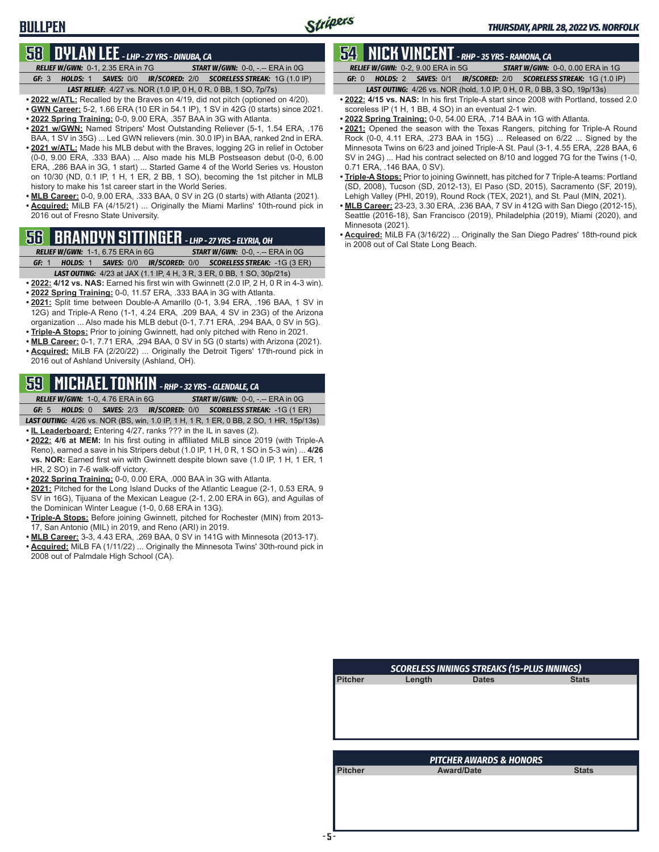## **BULLPEN**

## **58 DYLAN LEE** *- LHP - 27 YRS - DINUBA, CA*

*RELIEF W/GWN:*0-1, 2.35 ERA in 7G *START W/GWN:*0-0, -.-- ERA in 0G *GF:*3 *HOLDS:*1 *SAVES:*0/0 *IR/SCORED:*2/0 *SCORELESS STREAK:*1G (1.0 IP)

*LAST RELIEF:*4/27 vs. NOR (1.0 IP, 0 H, 0 R, 0 BB, 1 SO, 7p/7s) **• 2022 w/ATL:** Recalled by the Braves on 4/19, did not pitch (optioned on 4/20).

- **• GWN Career:** 5-2, 1.66 ERA (10 ER in 54.1 IP), 1 SV in 42G (0 starts) since 2021.
- **• 2022 Spring Training:** 0-0, 9.00 ERA, .357 BAA in 3G with Atlanta.
- **• 2021 w/GWN:** Named Stripers' Most Outstanding Reliever (5-1, 1.54 ERA, .176 BAA, 1 SV in 35G) ... Led GWN relievers (min. 30.0 IP) in BAA, ranked 2nd in ERA.
- **• 2021 w/ATL:** Made his MLB debut with the Braves, logging 2G in relief in October (0-0, 9.00 ERA, .333 BAA) ... Also made his MLB Postseason debut (0-0, 6.00 ERA, .286 BAA in 3G, 1 start) ... Started Game 4 of the World Series vs. Houston on 10/30 (ND, 0.1 IP, 1 H, 1 ER, 2 BB, 1 SO), becoming the 1st pitcher in MLB history to make his 1st career start in the World Series.
- **• MLB Career:** 0-0, 9.00 ERA, .333 BAA, 0 SV in 2G (0 starts) with Atlanta (2021). **• Acquired:** MiLB FA (4/15/21) ... Originally the Miami Marlins' 10th-round pick in 2016 out of Fresno State University.

## **56 BRANDYN SITTINGER** *- LHP - 27 YRS - ELYRIA, OH*

*RELIEF W/GWN:*1-1, 6.75 ERA in 6G *START W/GWN:*0-0, -.-- ERA in 0G *GF:*1 *HOLDS:*1 *SAVES:*0/0 *IR/SCORED:*0/0 *SCORELESS STREAK:*-1G (3 ER)

- *LAST OUTING:*4/23 at JAX (1.1 IP, 4 H, 3 R, 3 ER, 0 BB, 1 SO, 30p/21s) **• 2022: 4/12 vs. NAS:** Earned his first win with Gwinnett (2.0 IP, 2 H, 0 R in 4-3 win).
- **• 2022 Spring Training:** 0-0, 11.57 ERA, .333 BAA in 3G with Atlanta.
- **• 2021:** Split time between Double-A Amarillo (0-1, 3.94 ERA, .196 BAA, 1 SV in 12G) and Triple-A Reno (1-1, 4.24 ERA, .209 BAA, 4 SV in 23G) of the Arizona organization ... Also made his MLB debut (0-1, 7.71 ERA, .294 BAA, 0 SV in 5G).
- **• Triple-A Stops:** Prior to joining Gwinnett, had only pitched with Reno in 2021.
- **• MLB Career:** 0-1, 7.71 ERA, .294 BAA, 0 SV in 5G (0 starts) with Arizona (2021).
- **• Acquired:** MiLB FA (2/20/22) ... Originally the Detroit Tigers' 17th-round pick in 2016 out of Ashland University (Ashland, OH).

## **59 MICHAEL TONKIN** *- RHP - 32 YRS - GLENDALE, CA*

*RELIEF W/GWN:*1-0, 4.76 ERA in 6G *START W/GWN:*0-0, -.-- ERA in 0G *GF:*5 *HOLDS:*0 *SAVES:*2/3 *IR/SCORED:*0/0 *SCORELESS STREAK:*-1G (1 ER)

*LAST OUTING:*4/26 vs. NOR (BS, win, 1.0 IP, 1 H, 1 R, 1 ER, 0 BB, 2 SO, 1 HR, 15p/13s)

- **• IL Leaderboard:** Entering 4/27, ranks ??? in the IL in saves (2).
- **• 2022: 4/6 at MEM:** In his first outing in affiliated MiLB since 2019 (with Triple-A Reno), earned a save in his Stripers debut (1.0 IP, 1 H, 0 R, 1 SO in 5-3 win) ... **4/26 vs. NOR:** Earned first win with Gwinnett despite blown save (1.0 IP, 1 H, 1 ER, 1 HR, 2 SO) in 7-6 walk-off victory.
- **• 2022 Spring Training:** 0-0, 0.00 ERA, .000 BAA in 3G with Atlanta.
- **• 2021:** Pitched for the Long Island Ducks of the Atlantic League (2-1, 0.53 ERA, 9 SV in 16G), Tijuana of the Mexican League (2-1, 2.00 ERA in 6G), and Aguilas of the Dominican Winter League (1-0, 0.68 ERA in 13G).
- **• Triple-A Stops:** Before joining Gwinnett, pitched for Rochester (MIN) from 2013- 17, San Antonio (MIL) in 2019, and Reno (ARI) in 2019.
- **• MLB Career:** 3-3, 4.43 ERA, .269 BAA, 0 SV in 141G with Minnesota (2013-17).
- **• Acquired:** MiLB FA (1/11/22) ... Originally the Minnesota Twins' 30th-round pick in 2008 out of Palmdale High School (CA).

## **54 NICK VINCENT** *- RHP - 35 YRS - RAMONA, CA*

*RELIEF W/GWN:*0-2, 9.00 ERA in 5G *START W/GWN:*0-0, 0.00 ERA in 1G *GF:*0 *HOLDS:*2 *SAVES:*0/1 *IR/SCORED:*2/0 *SCORELESS STREAK:*1G (1.0 IP)

- *LAST OUTING:*4/26 vs. NOR (hold, 1.0 IP, 0 H, 0 R, 0 BB, 3 SO, 19p/13s)
- **• 2022: 4/15 vs. NAS:** In his first Triple-A start since 2008 with Portland, tossed 2.0 scoreless IP (1 H, 1 BB, 4 SO) in an eventual 2-1 win.
- **• 2022 Spring Training:** 0-0, 54.00 ERA, .714 BAA in 1G with Atlanta.
- **• 2021:** Opened the season with the Texas Rangers, pitching for Triple-A Round Rock (0-0, 4.11 ERA, .273 BAA in 15G) ... Released on 6/22 ... Signed by the Minnesota Twins on 6/23 and joined Triple-A St. Paul (3-1, 4.55 ERA, .228 BAA, 6 SV in 24G) ... Had his contract selected on 8/10 and logged 7G for the Twins (1-0, 0.71 ERA, .146 BAA, 0 SV).
- **• Triple-A Stops:** Prior to joining Gwinnett, has pitched for 7 Triple-A teams: Portland (SD, 2008), Tucson (SD, 2012-13), El Paso (SD, 2015), Sacramento (SF, 2019), Lehigh Valley (PHI, 2019), Round Rock (TEX, 2021), and St. Paul (MIN, 2021).
- **• MLB Career:** 23-23, 3.30 ERA, .236 BAA, 7 SV in 412G with San Diego (2012-15), Seattle (2016-18), San Francisco (2019), Philadelphia (2019), Miami (2020), and Minnesota (2021).
- **• Acquired:** MiLB FA (3/16/22) ... Originally the San Diego Padres' 18th-round pick in 2008 out of Cal State Long Beach.

|        | <b>SCORELESS INNINGS STREAKS (15-PLUS INNINGS)</b> |                                    |
|--------|----------------------------------------------------|------------------------------------|
| Length | <b>Dates</b>                                       | <b>Stats</b>                       |
|        |                                                    |                                    |
|        |                                                    |                                    |
|        |                                                    |                                    |
|        |                                                    |                                    |
|        |                                                    |                                    |
|        |                                                    |                                    |
|        |                                                    |                                    |
|        |                                                    |                                    |
|        |                                                    |                                    |
|        | <b>Award/Date</b>                                  | <b>Stats</b>                       |
|        |                                                    |                                    |
|        |                                                    |                                    |
|        |                                                    |                                    |
|        |                                                    |                                    |
|        |                                                    | <b>PITCHER AWARDS &amp; HONORS</b> |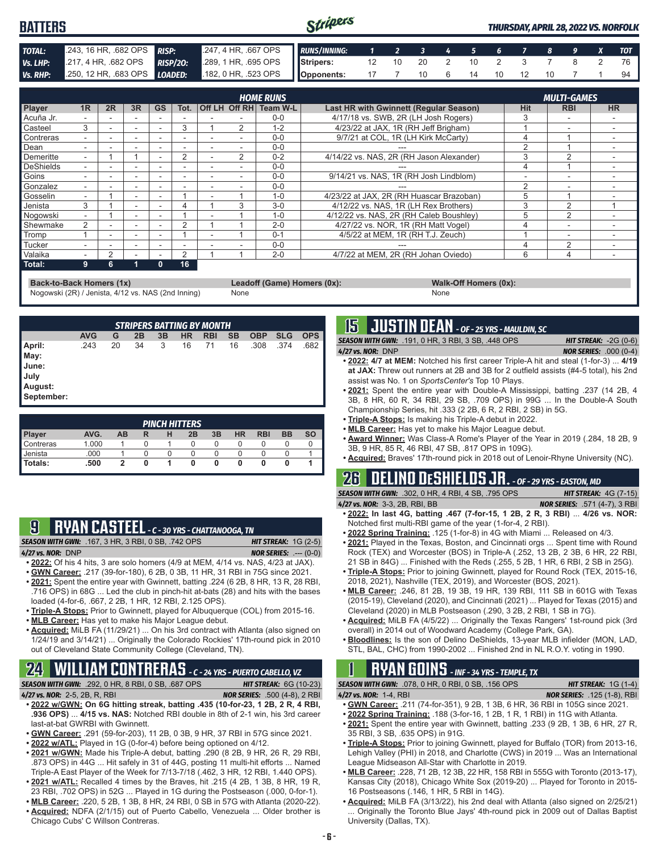#### Stripers **BATTERS** *THURSDAY, APRIL 28, 2022 VS. NORFOLK TOTAL:* .243, 16 HR, .682 OPS *RISP:* .247, 4 HR, .667 OPS *RUNS/INNING: 1 2 3 4 5 6 7 8 9 X TOT Vs. LHP:* .217, 4 HR, .682 OPS *RISP/2O:* .289, 1 HR, .695 OPS **Stripers:** 12 10 20 2 10 2 3 7 8 2 76 *Vs. RHP:* .250, 12 HR, .683 OPS *LOADED:* .182, 0 HR, .523 OPS **Opponents:** 17 7 10 6 14 10 12 10 7 1 94

|                  | <b>HOME RUNS</b> |    |                          |           |                |  |               |                        |                                               |            |                          |                          |
|------------------|------------------|----|--------------------------|-----------|----------------|--|---------------|------------------------|-----------------------------------------------|------------|--------------------------|--------------------------|
| <b>Player</b>    | 1R               | 2R | 3R                       | <b>GS</b> | Tot.           |  |               | Off LH Off RH Team W-L | <b>Last HR with Gwinnett (Regular Season)</b> | <b>Hit</b> | <b>RBI</b>               | <b>HR</b>                |
| Acuña Jr.        |                  |    |                          |           |                |  |               | $0 - 0$                | 4/17/18 vs. SWB, 2R (LH Josh Rogers)          |            |                          |                          |
| Casteel          | 3                |    | $\overline{\phantom{a}}$ |           | 3              |  | 2             | $1 - 2$                | 4/23/22 at JAX, 1R (RH Jeff Brigham)          |            | $\overline{\phantom{0}}$ |                          |
| Contreras        |                  |    | $\overline{\phantom{a}}$ |           |                |  |               | $0 - 0$                | 9/7/21 at COL, 1R (LH Kirk McCarty)           |            |                          |                          |
| Dean             |                  |    |                          |           |                |  |               | $0 - 0$                |                                               |            |                          |                          |
| Demeritte        |                  |    |                          |           | 2              |  | $\mathcal{P}$ | $0 - 2$                | 4/14/22 vs. NAS, 2R (RH Jason Alexander)      |            | 2                        | $\overline{\phantom{a}}$ |
| <b>DeShields</b> |                  |    |                          |           |                |  |               | $0 - 0$                |                                               |            |                          |                          |
| Goins            |                  |    |                          |           |                |  |               | $0 - 0$                | 9/14/21 vs. NAS. 1R (RH Josh Lindblom)        |            |                          | $\overline{\phantom{a}}$ |
| Gonzalez         |                  |    |                          |           |                |  |               | $0 - 0$                |                                               | $\sim$     |                          |                          |
| Gosselin         |                  |    | $\overline{\phantom{a}}$ |           |                |  |               | $1 - 0$                | 4/23/22 at JAX, 2R (RH Huascar Brazoban)      |            |                          |                          |
| Jenista          | 3                |    | $\overline{\phantom{a}}$ |           |                |  | 3             | $3-0$                  | 4/12/22 vs. NAS, 1R (LH Rex Brothers)         |            | 2                        |                          |
| Nogowski         | ۰.               |    |                          |           |                |  |               | $1 - 0$                | 4/12/22 vs. NAS, 2R (RH Caleb Boushley)       | 5          | 2                        |                          |
| Shewmake         | $\mathcal{P}$    |    |                          |           | $\Omega$       |  |               | $2 - 0$                | 4/27/22 vs. NOR. 1R (RH Matt Vogel)           |            | -                        |                          |
| Tromp            |                  |    |                          |           |                |  |               | $0 - 1$                | 4/5/22 at MEM, 1R (RH T.J. Zeuch)             |            | -                        |                          |
| Tucker           |                  |    |                          |           |                |  |               | $0 - 0$                |                                               |            | っ                        |                          |
| Valaika          |                  | 2  |                          |           | $\mathfrak{p}$ |  |               | $2 - 0$                | 4/7/22 at MEM, 2R (RH Johan Oviedo)           | 6          | 4                        | ۰                        |
| Total:           | 9                | հ  |                          | 0         | 16             |  |               |                        |                                               |            |                          |                          |

**Back-to-Back Homers (1x) Leadoff (Game) Homers (0x): Walk-Off Homers (0x): Walk-Off Homers (0x): None None** Nogowski (2R) / Jenista, 4/12 vs. NAS (2nd Inning)

*STRIPERS BATTING BY MONTH* **AVG G 2B 3B HR RBI SB OBP SLG OPS April:** .243 20 34 3 16 71 16 .308 .374 .682 **May: June: July August: September:**

| <b>PINCH HITTERS</b> |       |    |   |   |    |    |           |            |           |           |
|----------------------|-------|----|---|---|----|----|-----------|------------|-----------|-----------|
| Player               | AVG.  | AВ | R | н | 2B | 3B | <b>HR</b> | <b>RBI</b> | <b>BB</b> | <b>SO</b> |
| Contreras            | 1.000 |    |   |   |    | O  |           |            |           |           |
| Jenista              | 000   |    |   |   |    |    |           |            |           |           |
| Totals:              | .500  |    |   |   |    |    |           |            |           |           |

## **9 RYAN CASTEEL** *- C - 30 YRS - CHATTANOOGA, TN*

*SEASON WITH GWN:*.167, 3 HR, 3 RBI, 0 SB, .742 OPS *HIT STREAK:* 1G (2-5) *4/27 vs. NOR:*DNP *NOR SERIES:* .--- (0-0)

- **• 2022:** Of his 4 hits, 3 are solo homers (4/9 at MEM, 4/14 vs. NAS, 4/23 at JAX).
- **• GWN Career:** .217 (39-for-180), 6 2B, 0 3B, 11 HR, 31 RBI in 75G since 2021.
- **• 2021:** Spent the entire year with Gwinnett, batting .224 (6 2B, 8 HR, 13 R, 28 RBI, .716 OPS) in 68G ... Led the club in pinch-hit at-bats (28) and hits with the bases loaded (4-for-6, .667, 2 2B, 1 HR, 12 RBI, 2.125 OPS).
- **• Triple-A Stops:** Prior to Gwinnett, played for Albuquerque (COL) from 2015-16. **• MLB Career:** Has yet to make his Major League debut.
- 
- **• Acquired:** MiLB FA (11/29/21) ... On his 3rd contract with Atlanta (also signed on 1/24/19 and 3/14/21) ... Originally the Colorado Rockies' 17th-round pick in 2010 out of Cleveland State Community College (Cleveland, TN).

## **24 WILLIAM CONTRERAS** *- C - 24 YRS - PUERTO CABELLO, VZ*

*SEASON WITH GWN:*.292, 0 HR, 8 RBI, 0 SB, .687 OPS *HIT STREAK:* 6G (10-23)

- *4/27 vs. NOR:*2-5, 2B, R, RBI *NOR SERIES:* .500 (4-8), 2 RBI **• 2022 w/GWN: On 6G hitting streak, batting .435 (10-for-23, 1 2B, 2 R, 4 RBI, .936 OPS)** ... **4/15 vs. NAS:** Notched RBI double in 8th of 2-1 win, his 3rd career last-at-bat GWRBI with Gwinnett.
- **• GWN Career:** .291 (59-for-203), 11 2B, 0 3B, 9 HR, 37 RBI in 57G since 2021.
- **• 2022 w/ATL:** Played in 1G (0-for-4) before being optioned on 4/12.
- **• 2021 w/GWN:** Made his Triple-A debut, batting .290 (8 2B, 9 HR, 26 R, 29 RBI, .873 OPS) in 44G ... Hit safely in 31 of 44G, posting 11 multi-hit efforts ... Named Triple-A East Player of the Week for 7/13-7/18 (.462, 3 HR, 12 RBI, 1.440 OPS). **• 2021 w/ATL:** Recalled 4 times by the Braves, hit .215 (4 2B, 1 3B, 8 HR, 19 R,
- 23 RBI, .702 OPS) in 52G ... Played in 1G during the Postseason (.000, 0-for-1). **• MLB Career:** .220, 5 2B, 1 3B, 8 HR, 24 RBI, 0 SB in 57G with Atlanta (2020-22).
- 
- **• Acquired:** NDFA (2/1/15) out of Puerto Cabello, Venezuela ... Older brother is Chicago Cubs' C Willson Contreras.

## **15 JUSTIN DEAN** *- OF - 25 YRS - MAULDIN, SC*

*SEASON WITH GWN:*.191, 0 HR, 3 RBI, 3 SB, .448 OPS *HIT STREAK:* -2G (0-6) *4/27 vs. NOR:*DNP *NOR SERIES:* .000 (0-4)

- **• 2022: 4/7 at MEM:** Notched his first career Triple-A hit and steal (1-for-3) ... **4/19 at JAX:** Threw out runners at 2B and 3B for 2 outfield assists (#4-5 total), his 2nd assist was No. 1 on *SportsCenter's* Top 10 Plays.
- **• 2021:** Spent the entire year with Double-A Mississippi, batting .237 (14 2B, 4 3B, 8 HR, 60 R, 34 RBI, 29 SB, .709 OPS) in 99G ... In the Double-A South Championship Series, hit .333 (2 2B, 6 R, 2 RBI, 2 SB) in 5G.
- **• Triple-A Stops:** Is making his Triple-A debut in 2022.
- **• MLB Career:** Has yet to make his Major League debut.
- **• Award Winner:** Was Class-A Rome's Player of the Year in 2019 (.284, 18 2B, 9 3B, 9 HR, 85 R, 46 RBI, 47 SB, .817 OPS in 109G).
- **• Acquired:** Braves' 17th-round pick in 2018 out of Lenoir-Rhyne University (NC).

## **26 DELINO DESHIELDS JR.** *- OF - 29 YRS - EASTON, MD*

*SEASON WITH GWN:*.302, 0 HR, 4 RBI, 4 SB, .795 OPS *HIT STREAK:* 4G (7-15) *4/27 vs. NOR:*3-3, 2B, RBI, BB *NOR SERIES:* .571 (4-7), 3 RBI

- **• 2022: In last 4G, batting .467 (7-for-15, 1 2B, 2 R, 3 RBI)** ... **4/26 vs. NOR:**  Notched first multi-RBI game of the year (1-for-4, 2 RBI).
- **• 2022 Spring Training:** .125 (1-for-8) in 4G with Miami ... Released on 4/3.
- **• 2021:** Played in the Texas, Boston, and Cincinnati orgs ... Spent time with Round Rock (TEX) and Worcester (BOS) in Triple-A (.252, 13 2B, 2 3B, 6 HR, 22 RBI, 21 SB in 84G) ... Finished with the Reds (.255, 5 2B, 1 HR, 6 RBI, 2 SB in 25G).
- **• Triple-A Stops:** Prior to joining Gwinnett, played for Round Rock (TEX, 2015-16, 2018, 2021), Nashville (TEX, 2019), and Worcester (BOS, 2021).
- **• MLB Career:** .246, 81 2B, 19 3B, 19 HR, 139 RBI, 111 SB in 601G with Texas (2015-19), Cleveland (2020), and Cincinnati (2021) ... Played for Texas (2015) and Cleveland (2020) in MLB Postseason (.290, 3 2B, 2 RBI, 1 SB in 7G).
- **• Acquired:** MiLB FA (4/5/22) ... Originally the Texas Rangers' 1st-round pick (3rd overall) in 2014 out of Woodward Academy (College Park, GA).
- **• Bloodlines:** Is the son of Delino DeShields, 13-year MLB infielder (MON, LAD, STL, BAL, CHC) from 1990-2002 ... Finished 2nd in NL R.O.Y. voting in 1990.

## **1 RYAN GOINS** *- INF - 34 YRS - TEMPLE, TX*

*SEASON WITH GWN:*.078, 0 HR, 0 RBI, 0 SB, .156 OPS *HIT STREAK:* 1G (1-4)

*4/27 vs. NOR:*1-4, RBI *NOR SERIES:* .125 (1-8), RBI

- **• GWN Career:** .211 (74-for-351), 9 2B, 1 3B, 6 HR, 36 RBI in 105G since 2021.
- **• 2022 Spring Training:** .188 (3-for-16, 1 2B, 1 R, 1 RBI) in 11G with Atlanta.
- **• 2021:** Spent the entire year with Gwinnett, batting .233 (9 2B, 1 3B, 6 HR, 27 R, 35 RBI, 3 SB, .635 OPS) in 91G.
- **• Triple-A Stops:** Prior to joining Gwinnett, played for Buffalo (TOR) from 2013-16, Lehigh Valley (PHI) in 2018, and Charlotte (CWS) in 2019 ... Was an International League Midseason All-Star with Charlotte in 2019.
- **• MLB Career:** .228, 71 2B, 12 3B, 22 HR, 158 RBI in 555G with Toronto (2013-17), Kansas City (2018), Chicago White Sox (2019-20) ... Played for Toronto in 2015- 16 Postseasons (.146, 1 HR, 5 RBI in 14G).
- **• Acquired:** MiLB FA (3/13/22), his 2nd deal with Atlanta (also signed on 2/25/21) Originally the Toronto Blue Jays' 4th-round pick in 2009 out of Dallas Baptist University (Dallas, TX).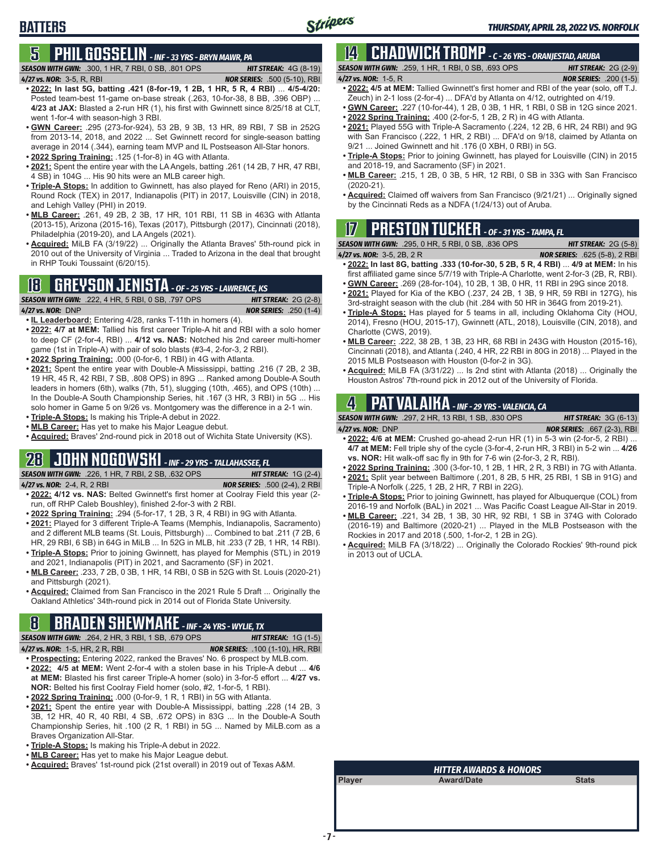## **5 PHIL GOSSELIN** *- INF - 33 YRS - BRYN MAWR, PA*

*SEASON WITH GWN:*.300, 1 HR, 7 RBI, 0 SB, .801 OPS *HIT STREAK:* 4G (8-19) *4/27 vs. NOR:*3-5, R, RBI *NOR SERIES:* .500 (5-10), RBI

- **• 2022: In last 5G, batting .421 (8-for-19, 1 2B, 1 HR, 5 R, 4 RBI)** ... **4/5-4/20:** Posted team-best 11-game on-base streak (.263, 10-for-38, 8 BB, .396 OBP) ... **4/23 at JAX:** Blasted a 2-run HR (1), his first with Gwinnett since 8/25/18 at CLT, went 1-for-4 with season-high 3 RBI.
- **• GWN Career:** .295 (273-for-924), 53 2B, 9 3B, 13 HR, 89 RBI, 7 SB in 252G from 2013-14, 2018, and 2022 ... Set Gwinnett record for single-season batting average in 2014 (.344), earning team MVP and IL Postseason All-Star honors.
- **• 2022 Spring Training:** .125 (1-for-8) in 4G with Atlanta.
- **• 2021:** Spent the entire year with the LA Angels, batting .261 (14 2B, 7 HR, 47 RBI, 4 SB) in 104G ... His 90 hits were an MLB career high.
- **• Triple-A Stops:** In addition to Gwinnett, has also played for Reno (ARI) in 2015, Round Rock (TEX) in 2017, Indianapolis (PIT) in 2017, Louisville (CIN) in 2018, and Lehigh Valley (PHI) in 2019.
- **• MLB Career:** .261, 49 2B, 2 3B, 17 HR, 101 RBI, 11 SB in 463G with Atlanta (2013-15), Arizona (2015-16), Texas (2017), Pittsburgh (2017), Cincinnati (2018), Philadelphia (2019-20), and LA Angels (2021).
- **• Acquired:** MiLB FA (3/19/22) ... Originally the Atlanta Braves' 5th-round pick in 2010 out of the University of Virginia ... Traded to Arizona in the deal that brought in RHP Touki Toussaint (6/20/15).

## **18 GREYSON JENISTA** *- OF - 25 YRS - LAWRENCE, KS*



**BATTERS**

- **• IL Leaderboard:** Entering 4/28, ranks T-11th in homers (4).
- **• 2022: 4/7 at MEM:** Tallied his first career Triple-A hit and RBI with a solo homer to deep CF (2-for-4, RBI) ... **4/12 vs. NAS:** Notched his 2nd career multi-homer game (1st in Triple-A) with pair of solo blasts (#3-4, 2-for-3, 2 RBI).
- **• 2022 Spring Training:** .000 (0-for-6, 1 RBI) in 4G with Atlanta.
- **• 2021:** Spent the entire year with Double-A Mississippi, batting .216 (7 2B, 2 3B, 19 HR, 45 R, 42 RBI, 7 SB, .808 OPS) in 89G ... Ranked among Double-A South leaders in homers (6th), walks (7th, 51), slugging (10th, .465), and OPS (10th) ... In the Double-A South Championship Series, hit .167 (3 HR, 3 RBI) in 5G ... His solo homer in Game 5 on 9/26 vs. Montgomery was the difference in a 2-1 win.
- **• Triple-A Stops:** Is making his Triple-A debut in 2022.
- **• MLB Career:** Has yet to make his Major League debut.
- **• Acquired:** Braves' 2nd-round pick in 2018 out of Wichita State University (KS).

### **28 JOHN NOGOWSKI** *- INF - 29 YRS - TALLAHASSEE, FL*

*SEASON WITH GWN:*.226, 1 HR, 7 RBI, 2 SB, .632 OPS *HIT STREAK:* 1G (2-4)

- *4/27 vs. NOR:*2-4, R, 2 RBI *NOR SERIES:* .500 (2-4), 2 RBI
- **• 2022: 4/12 vs. NAS:** Belted Gwinnett's first homer at Coolray Field this year (2 run, off RHP Caleb Boushley), finished 2-for-3 with 2 RBI.
- **• 2022 Spring Training:** .294 (5-for-17, 1 2B, 3 R, 4 RBI) in 9G with Atlanta.
- **• 2021:** Played for 3 different Triple-A Teams (Memphis, Indianapolis, Sacramento) and 2 different MLB teams (St. Louis, Pittsburgh) ... Combined to bat .211 (7 2B, 6 HR, 29 RBI, 6 SB) in 64G in MiLB ... In 52G in MLB, hit .233 (7 2B, 1 HR, 14 RBI). **• Triple-A Stops:** Prior to joining Gwinnett, has played for Memphis (STL) in 2019
- and 2021, Indianapolis (PIT) in 2021, and Sacramento (SF) in 2021.
- **• MLB Career:** .233, 7 2B, 0 3B, 1 HR, 14 RBI, 0 SB in 52G with St. Louis (2020-21) and Pittsburgh (2021).
- **• Acquired:** Claimed from San Francisco in the 2021 Rule 5 Draft ... Originally the Oakland Athletics' 34th-round pick in 2014 out of Florida State University.

## **8 BRADEN SHEWMAKE** *- INF - 24 YRS - WYLIE, TX*

*SEASON WITH GWN:*.264, 2 HR, 3 RBI, 1 SB, .679 OPS *HIT STREAK:* 1G (1-5) *4/27 vs. NOR:*1-5, HR, 2 R, RBI *NOR SERIES:* .100 (1-10), HR, RBI

- **• Prospecting:** Entering 2022, ranked the Braves' No. 6 prospect by MLB.com. **• 2022: 4/5 at MEM:** Went 2-for-4 with a stolen base in his Triple-A debut ... **4/6 at MEM:** Blasted his first career Triple-A homer (solo) in 3-for-5 effort ... **4/27 vs. NOR:** Belted his first Coolray Field homer (solo, #2, 1-for-5, 1 RBI).
- **• 2022 Spring Training:** .000 (0-for-9, 1 R, 1 RBI) in 5G with Atlanta.
- **• 2021:** Spent the entire year with Double-A Mississippi, batting .228 (14 2B, 3 3B, 12 HR, 40 R, 40 RBI, 4 SB, .672 OPS) in 83G ... In the Double-A South Championship Series, hit .100 (2 R, 1 RBI) in 5G ... Named by MiLB.com as a Braves Organization All-Star.
- **• Triple-A Stops:** Is making his Triple-A debut in 2022.
- **• MLB Career:** Has yet to make his Major League debut.
- **• Acquired:** Braves' 1st-round pick (21st overall) in 2019 out of Texas A&M.

### **14 CHADWICK TROMP** *- C - 26 YRS - ORANJESTAD, ARUBA SEASON WITH GWN:*.259, 1 HR, 1 RBI, 0 SB, .693 OPS *HIT STREAK:* 2G (2-9)

*4/27 vs. NOR:*1-5, R *NOR SERIES:* .200 (1-5)

- **• 2022: 4/5 at MEM:** Tallied Gwinnett's first homer and RBI of the year (solo, off T.J. Zeuch) in 2-1 loss (2-for-4) ... DFA'd by Atlanta on 4/12, outrighted on 4/19.
- **• GWN Career:** .227 (10-for-44), 1 2B, 0 3B, 1 HR, 1 RBI, 0 SB in 12G since 2021.
	- **• 2022 Spring Training:** .400 (2-for-5, 1 2B, 2 R) in 4G with Atlanta.
- **• 2021:** Played 55G with Triple-A Sacramento (.224, 12 2B, 6 HR, 24 RBI) and 9G with San Francisco (.222, 1 HR, 2 RBI) ... DFA'd on 9/18, claimed by Atlanta on 9/21 ... Joined Gwinnett and hit .176 (0 XBH, 0 RBI) in 5G.
- **• Triple-A Stops:** Prior to joining Gwinnett, has played for Louisville (CIN) in 2015 and 2018-19, and Sacramento (SF) in 2021.
- **• MLB Career:** .215, 1 2B, 0 3B, 5 HR, 12 RBI, 0 SB in 33G with San Francisco (2020-21).
- **• Acquired:** Claimed off waivers from San Francisco (9/21/21) ... Originally signed by the Cincinnati Reds as a NDFA (1/24/13) out of Aruba.

## **17 PRESTON TUCKER** *- OF - 31 YRS - TAMPA, FL*

*SEASON WITH GWN:*.295, 0 HR, 5 RBI, 0 SB, .836 OPS *HIT STREAK:* 2G (5-8)

- **• 2022: In last 8G, batting .333 (10-for-30, 5 2B, 5 R, 4 RBI)** ... **4/9 at MEM:** In his first affiliated game since 5/7/19 with Triple-A Charlotte, went 2-for-3 (2B, R, RBI).
- **• GWN Career:** .269 (28-for-104), 10 2B, 1 3B, 0 HR, 11 RBI in 29G since 2018.
- **• 2021:** Played for Kia of the KBO (.237, 24 2B, 1 3B, 9 HR, 59 RBI in 127G), his 3rd-straight season with the club (hit .284 with 50 HR in 364G from 2019-21).
- **• Triple-A Stops:** Has played for 5 teams in all, including Oklahoma City (HOU, 2014), Fresno (HOU, 2015-17), Gwinnett (ATL, 2018), Louisville (CIN, 2018), and Charlotte (CWS, 2019).
- **• MLB Career:** .222, 38 2B, 1 3B, 23 HR, 68 RBI in 243G with Houston (2015-16), Cincinnati (2018), and Atlanta (.240, 4 HR, 22 RBI in 80G in 2018) ... Played in the 2015 MLB Postseason with Houston (0-for-2 in 3G).
- **• Acquired:** MiLB FA (3/31/22) ... Is 2nd stint with Atlanta (2018) ... Originally the Houston Astros' 7th-round pick in 2012 out of the University of Florida.

## **4 PAT VALAIKA** *- INF - 29 YRS - VALENCIA, CA*

*SEASON WITH GWN:*.297, 2 HR, 13 RBI, 1 SB, .830 OPS *HIT STREAK:* 3G (6-13)

- *4/27 vs. NOR:*DNP *NOR SERIES:* .667 (2-3), RBI
- **• 2022: 4/6 at MEM:** Crushed go-ahead 2-run HR (1) in 5-3 win (2-for-5, 2 RBI) ... **4/7 at MEM:** Fell triple shy of the cycle (3-for-4, 2-run HR, 3 RBI) in 5-2 win ... **4/26 vs. NOR:** Hit walk-off sac fly in 9th for 7-6 win (2-for-3, 2 R, RBI).
- **• 2022 Spring Training:** .300 (3-for-10, 1 2B, 1 HR, 2 R, 3 RBI) in 7G with Atlanta.
- **• 2021:** Split year between Baltimore (.201, 8 2B, 5 HR, 25 RBI, 1 SB in 91G) and Triple-A Norfolk (.225, 1 2B, 2 HR, 7 RBI in 22G).
- **• Triple-A Stops:** Prior to joining Gwinnett, has played for Albuquerque (COL) from 2016-19 and Norfolk (BAL) in 2021 ... Was Pacific Coast League All-Star in 2019.
- **• MLB Career:** .221, 34 2B, 1 3B, 30 HR, 92 RBI, 1 SB in 374G with Colorado (2016-19) and Baltimore (2020-21) ... Played in the MLB Postseason with the Rockies in 2017 and 2018 (.500, 1-for-2, 1 2B in 2G).
- **• Acquired:** MiLB FA (3/18/22) ... Originally the Colorado Rockies' 9th-round pick in 2013 out of UCLA.

| . HITTER AWARDS & HONORS' |                   |              |  |
|---------------------------|-------------------|--------------|--|
| Player                    | <b>Award/Date</b> | <b>Stats</b> |  |
|                           |                   |              |  |
|                           |                   |              |  |
|                           |                   |              |  |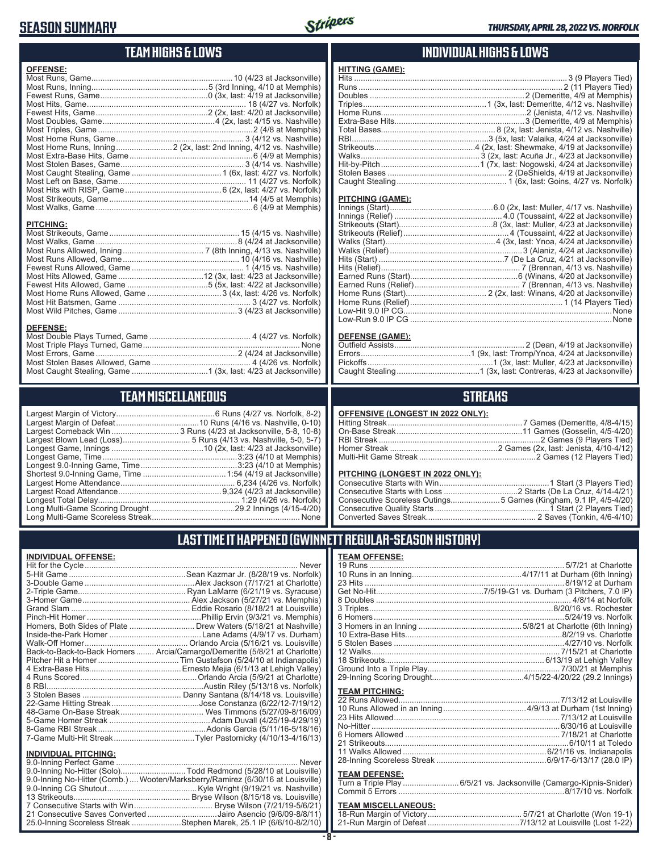## **SEASON SUMMARY**



## **TEAM HIGHS & LOWS**

| Most Home Runs, Inning 2 (2x, last: 2nd Inning, 4/12 vs. Nashville) | <b>OFFENSE:</b> |  |
|---------------------------------------------------------------------|-----------------|--|
|                                                                     |                 |  |
|                                                                     |                 |  |
|                                                                     |                 |  |
|                                                                     |                 |  |
|                                                                     |                 |  |
|                                                                     |                 |  |
|                                                                     |                 |  |
|                                                                     |                 |  |
|                                                                     |                 |  |
|                                                                     |                 |  |
|                                                                     |                 |  |
|                                                                     |                 |  |
|                                                                     |                 |  |
|                                                                     |                 |  |
|                                                                     |                 |  |
|                                                                     |                 |  |

#### **PITCHING:**

#### **DEFENSE:**

## **TEAM MISCELLANEOUS**

## **INDIVIDUAL HIGHS & LOWS**

| <b>HITTING (GAME):</b> |  |
|------------------------|--|
|                        |  |
|                        |  |
|                        |  |
|                        |  |
|                        |  |
|                        |  |
|                        |  |
|                        |  |
|                        |  |
|                        |  |
|                        |  |
|                        |  |
|                        |  |

#### **PITCHING (GAME):**

### **DEFENSE (GAME):**

## **STREAKS**

| <b>OFFENSIVE (LONGEST IN 2022 ONLY):</b> |
|------------------------------------------|
|                                          |

### **PITCHING (LONGEST IN 2022 ONLY):**

| Consecutive Scoreless Outings5 Games (Kingham, 9.1 IP, 4/5-4/20) |  |
|------------------------------------------------------------------|--|
|                                                                  |  |
|                                                                  |  |

## **LAST TIME IT HAPPENED (GWINNETT REGULAR-SEASON HISTORY)**

### **INDIVIDUAL OFFENSE:**

|                                                        | Homers, Both Sides of Plate  Drew Waters (5/18/21 at Nashville)            |
|--------------------------------------------------------|----------------------------------------------------------------------------|
|                                                        |                                                                            |
|                                                        |                                                                            |
|                                                        | Back-to-Back-to-Back Homers  Arcia/Camargo/Demeritte (5/8/21 at Charlotte) |
|                                                        |                                                                            |
|                                                        |                                                                            |
|                                                        |                                                                            |
|                                                        |                                                                            |
|                                                        |                                                                            |
|                                                        |                                                                            |
|                                                        |                                                                            |
|                                                        |                                                                            |
|                                                        |                                                                            |
|                                                        |                                                                            |
|                                                        |                                                                            |
| <b>INDIVIDUAL PITCHING:</b><br>0.0 Inning Porfoot Camo | Novor                                                                      |
|                                                        |                                                                            |

| 9.0-Inning No-Hitter (Comb.)  Wooten/Marksberry/Ramirez (6/30/16 at Louisville) |  |
|---------------------------------------------------------------------------------|--|
|                                                                                 |  |
|                                                                                 |  |
|                                                                                 |  |
| 21 Consecutive Saves Converted Jairo Asencio (9/6/09-8/8/11)                    |  |
| 25.0-Inning Scoreless Streak Stephen Marek, 25.1 IP (6/6/10-8/2/10)             |  |
|                                                                                 |  |

### **TEAM OFFENSE:**

| <b>TEAM PITCHING:</b>                                                                       |  |
|---------------------------------------------------------------------------------------------|--|
| <b>TEAM DEFENSE:</b><br>Turn a Triple Play  6/5/21 vs. Jacksonville (Camargo-Kipnis-Snider) |  |
| <b>TEAM MISCELLANEOUS:</b>                                                                  |  |

| 21-Run Margin of Defeat…7/13/12 at Louisville (Lost 1-22) |
|-----------------------------------------------------------|